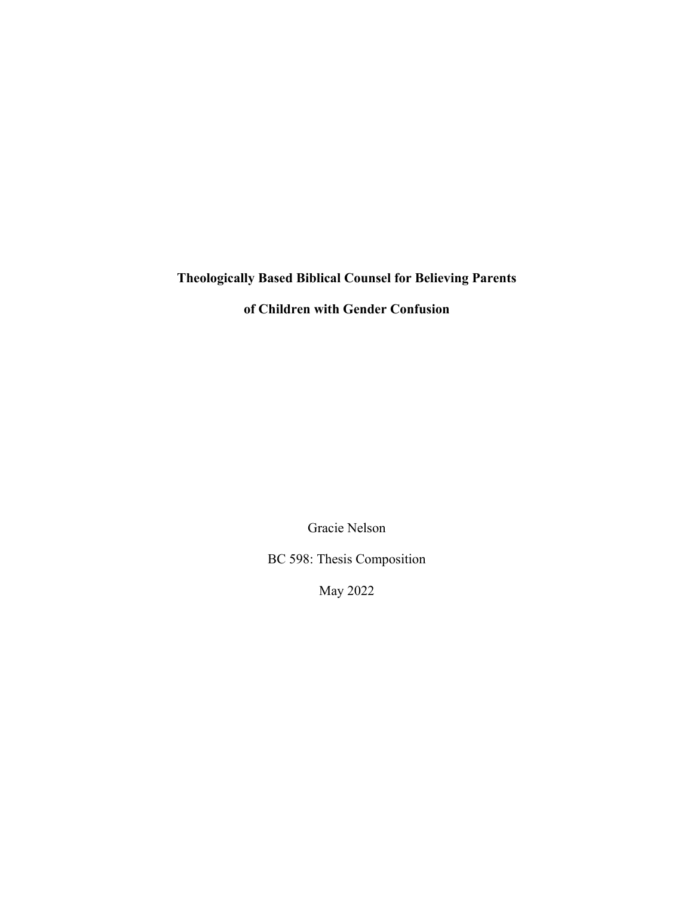# **Theologically Based Biblical Counsel for Believing Parents**

**of Children with Gender Confusion**

Gracie Nelson

BC 598: Thesis Composition

May 2022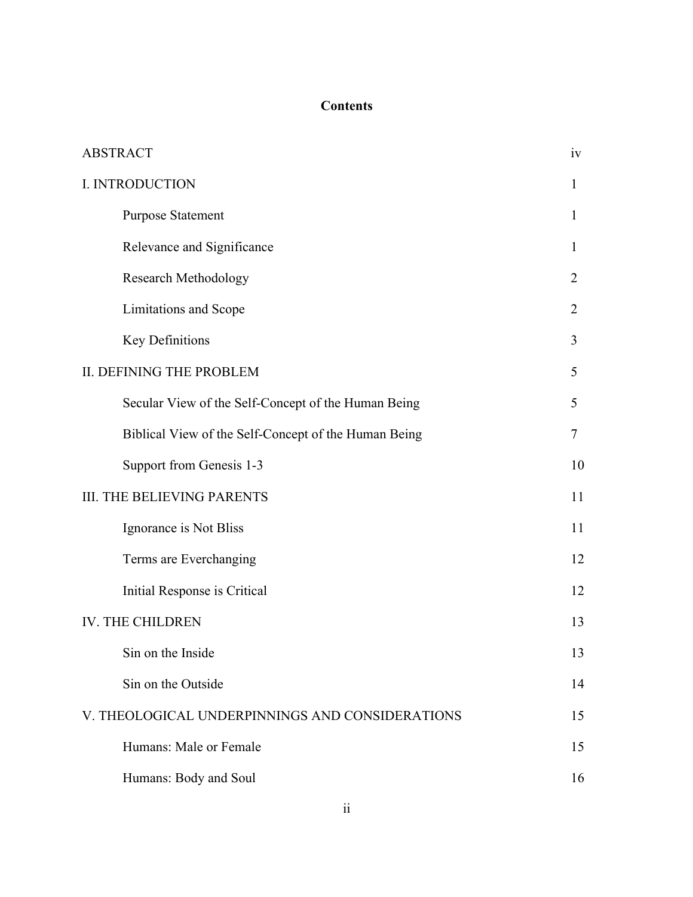# **Contents**

| <b>ABSTRACT</b>                                      |                |
|------------------------------------------------------|----------------|
| I. INTRODUCTION                                      | 1              |
| <b>Purpose Statement</b>                             | 1              |
| Relevance and Significance                           | $\mathbf{I}$   |
| Research Methodology                                 | 2              |
| Limitations and Scope                                | $\overline{2}$ |
| <b>Key Definitions</b>                               | 3              |
| II. DEFINING THE PROBLEM                             | 5              |
| Secular View of the Self-Concept of the Human Being  | 5              |
| Biblical View of the Self-Concept of the Human Being | 7              |
| Support from Genesis 1-3                             | 10             |
| <b>III. THE BELIEVING PARENTS</b>                    |                |
| Ignorance is Not Bliss                               |                |
| Terms are Everchanging                               | 12             |
| Initial Response is Critical                         | 12             |
| <b>IV. THE CHILDREN</b>                              | 13             |
| Sin on the Inside                                    | 13             |
| Sin on the Outside                                   | 14             |
| V. THEOLOGICAL UNDERPINNINGS AND CONSIDERATIONS      |                |
| Humans: Male or Female                               | 15             |
| Humans: Body and Soul                                | 16             |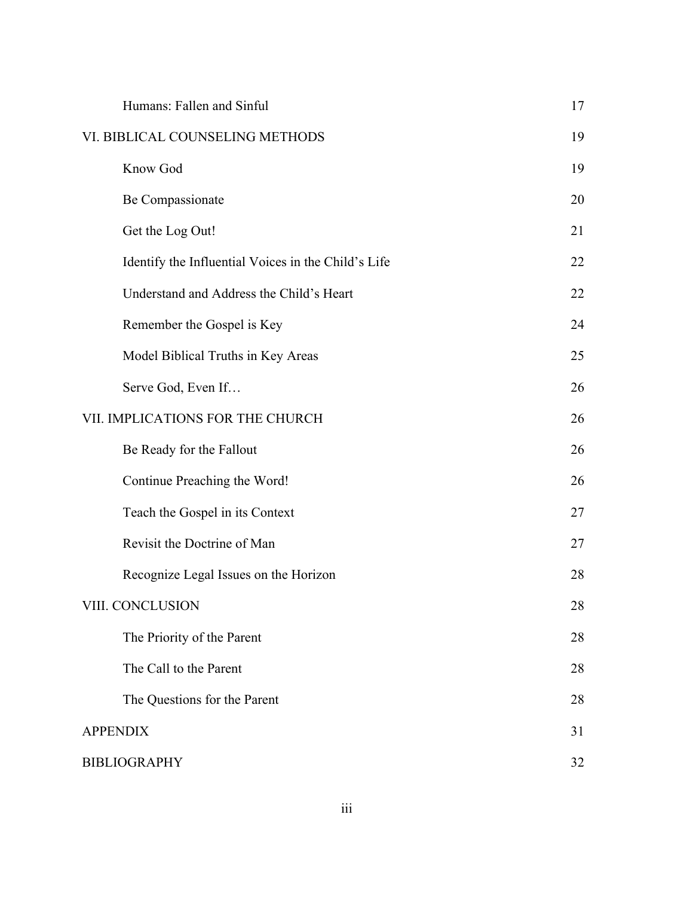| Humans: Fallen and Sinful                           | 17 |
|-----------------------------------------------------|----|
| VI. BIBLICAL COUNSELING METHODS                     |    |
| Know God                                            | 19 |
| Be Compassionate                                    | 20 |
| Get the Log Out!                                    | 21 |
| Identify the Influential Voices in the Child's Life | 22 |
| Understand and Address the Child's Heart            | 22 |
| Remember the Gospel is Key                          | 24 |
| Model Biblical Truths in Key Areas                  | 25 |
| Serve God, Even If                                  | 26 |
| VII. IMPLICATIONS FOR THE CHURCH                    | 26 |
| Be Ready for the Fallout                            | 26 |
| Continue Preaching the Word!                        | 26 |
| Teach the Gospel in its Context                     | 27 |
| Revisit the Doctrine of Man                         | 27 |
| Recognize Legal Issues on the Horizon               | 28 |
| VIII. CONCLUSION                                    | 28 |
| The Priority of the Parent                          | 28 |
| The Call to the Parent                              | 28 |
| The Questions for the Parent                        | 28 |
| <b>APPENDIX</b>                                     |    |
| <b>BIBLIOGRAPHY</b>                                 |    |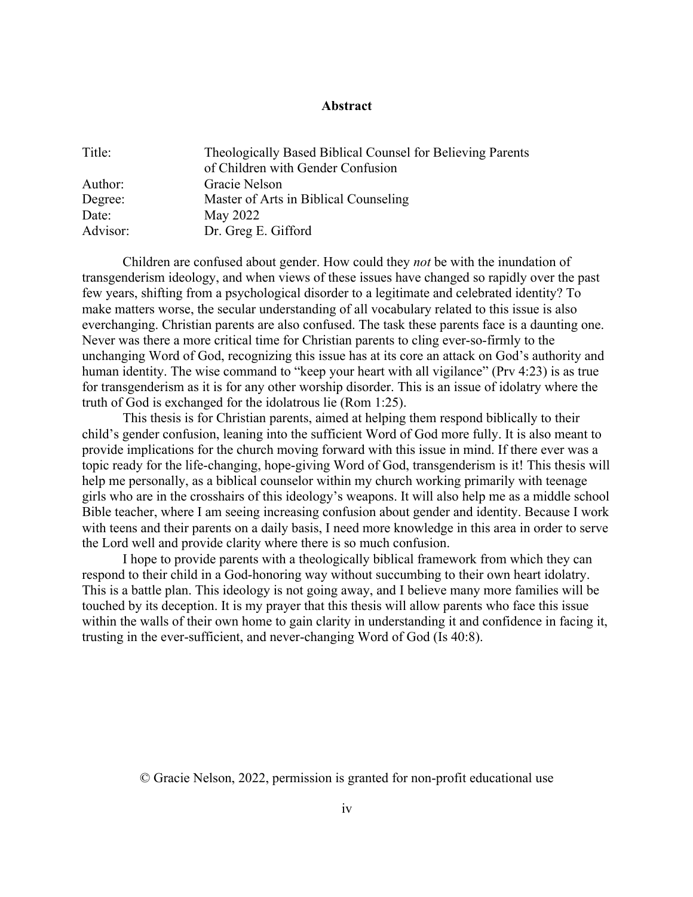# **Abstract**

| Title:   | Theologically Based Biblical Counsel for Believing Parents |
|----------|------------------------------------------------------------|
|          | of Children with Gender Confusion                          |
| Author:  | Gracie Nelson                                              |
| Degree:  | Master of Arts in Biblical Counseling                      |
| Date:    | May 2022                                                   |
| Advisor: | Dr. Greg E. Gifford                                        |

Children are confused about gender. How could they *not* be with the inundation of transgenderism ideology, and when views of these issues have changed so rapidly over the past few years, shifting from a psychological disorder to a legitimate and celebrated identity? To make matters worse, the secular understanding of all vocabulary related to this issue is also everchanging. Christian parents are also confused. The task these parents face is a daunting one. Never was there a more critical time for Christian parents to cling ever-so-firmly to the unchanging Word of God, recognizing this issue has at its core an attack on God's authority and human identity. The wise command to "keep your heart with all vigilance" (Prv 4:23) is as true for transgenderism as it is for any other worship disorder. This is an issue of idolatry where the truth of God is exchanged for the idolatrous lie (Rom 1:25).

This thesis is for Christian parents, aimed at helping them respond biblically to their child's gender confusion, leaning into the sufficient Word of God more fully. It is also meant to provide implications for the church moving forward with this issue in mind. If there ever was a topic ready for the life-changing, hope-giving Word of God, transgenderism is it! This thesis will help me personally, as a biblical counselor within my church working primarily with teenage girls who are in the crosshairs of this ideology's weapons. It will also help me as a middle school Bible teacher, where I am seeing increasing confusion about gender and identity. Because I work with teens and their parents on a daily basis, I need more knowledge in this area in order to serve the Lord well and provide clarity where there is so much confusion.

I hope to provide parents with a theologically biblical framework from which they can respond to their child in a God-honoring way without succumbing to their own heart idolatry. This is a battle plan. This ideology is not going away, and I believe many more families will be touched by its deception. It is my prayer that this thesis will allow parents who face this issue within the walls of their own home to gain clarity in understanding it and confidence in facing it, trusting in the ever-sufficient, and never-changing Word of God (Is 40:8).

© Gracie Nelson, 2022, permission is granted for non-profit educational use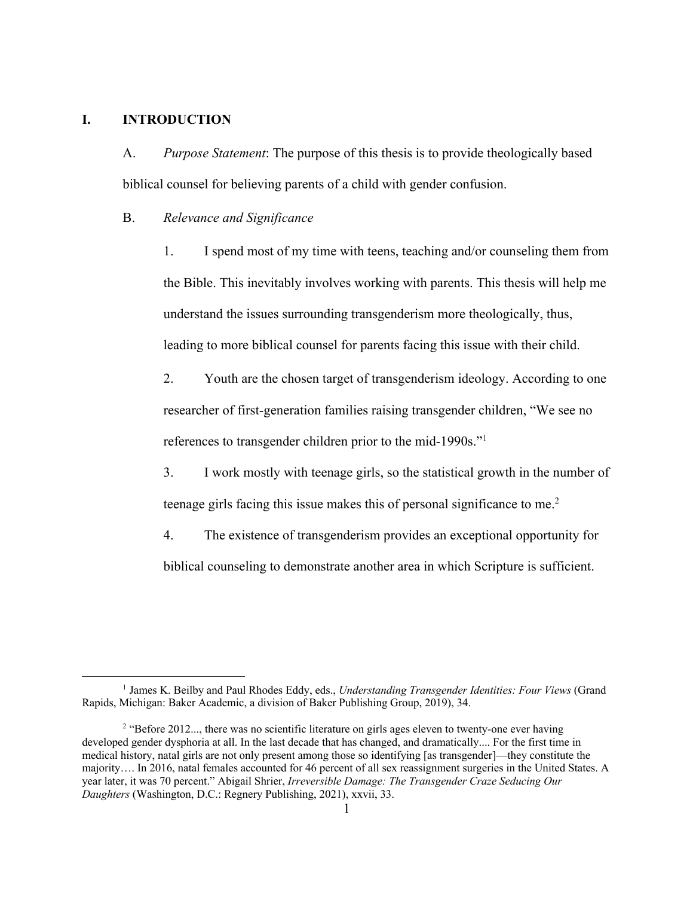### **I. INTRODUCTION**

A. *Purpose Statement*: The purpose of this thesis is to provide theologically based biblical counsel for believing parents of a child with gender confusion.

#### B. *Relevance and Significance*

1. I spend most of my time with teens, teaching and/or counseling them from the Bible. This inevitably involves working with parents. This thesis will help me understand the issues surrounding transgenderism more theologically, thus, leading to more biblical counsel for parents facing this issue with their child.

2. Youth are the chosen target of transgenderism ideology. According to one researcher of first-generation families raising transgender children, "We see no references to transgender children prior to the mid-1990s."1

3. I work mostly with teenage girls, so the statistical growth in the number of teenage girls facing this issue makes this of personal significance to me.<sup>2</sup>

4. The existence of transgenderism provides an exceptional opportunity for biblical counseling to demonstrate another area in which Scripture is sufficient.

<sup>1</sup> James K. Beilby and Paul Rhodes Eddy, eds., *Understanding Transgender Identities: Four Views* (Grand Rapids, Michigan: Baker Academic, a division of Baker Publishing Group, 2019), 34.

<sup>&</sup>lt;sup>2</sup> "Before 2012..., there was no scientific literature on girls ages eleven to twenty-one ever having developed gender dysphoria at all. In the last decade that has changed, and dramatically.... For the first time in medical history, natal girls are not only present among those so identifying [as transgender]—they constitute the majority…. In 2016, natal females accounted for 46 percent of all sex reassignment surgeries in the United States. A year later, it was 70 percent." Abigail Shrier, *Irreversible Damage: The Transgender Craze Seducing Our Daughters* (Washington, D.C.: Regnery Publishing, 2021), xxvii, 33.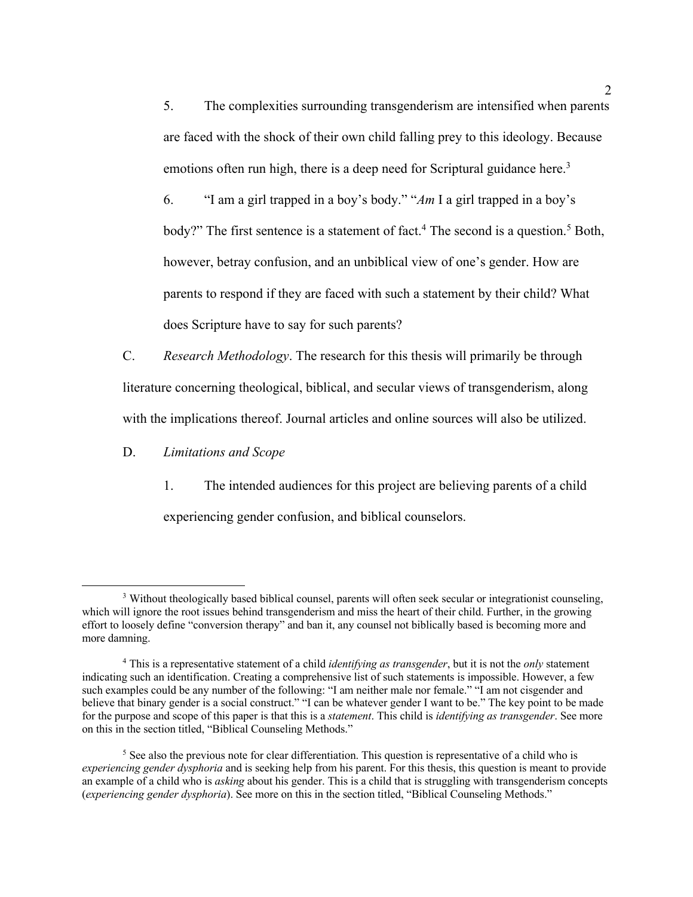5. The complexities surrounding transgenderism are intensified when parents are faced with the shock of their own child falling prey to this ideology. Because emotions often run high, there is a deep need for Scriptural guidance here.<sup>3</sup>

6. "I am a girl trapped in a boy's body." "*Am* I a girl trapped in a boy's body?" The first sentence is a statement of fact.<sup>4</sup> The second is a question.<sup>5</sup> Both, however, betray confusion, and an unbiblical view of one's gender. How are parents to respond if they are faced with such a statement by their child? What does Scripture have to say for such parents?

C. *Research Methodology*. The research for this thesis will primarily be through literature concerning theological, biblical, and secular views of transgenderism, along with the implications thereof. Journal articles and online sources will also be utilized.

D. *Limitations and Scope*

1. The intended audiences for this project are believing parents of a child experiencing gender confusion, and biblical counselors.

<sup>&</sup>lt;sup>3</sup> Without theologically based biblical counsel, parents will often seek secular or integrationist counseling, which will ignore the root issues behind transgenderism and miss the heart of their child. Further, in the growing effort to loosely define "conversion therapy" and ban it, any counsel not biblically based is becoming more and more damning.

<sup>4</sup> This is a representative statement of a child *identifying as transgender*, but it is not the *only* statement indicating such an identification. Creating a comprehensive list of such statements is impossible. However, a few such examples could be any number of the following: "I am neither male nor female." "I am not cisgender and believe that binary gender is a social construct." "I can be whatever gender I want to be." The key point to be made for the purpose and scope of this paper is that this is a *statement*. This child is *identifying as transgender*. See more on this in the section titled, "Biblical Counseling Methods."

<sup>&</sup>lt;sup>5</sup> See also the previous note for clear differentiation. This question is representative of a child who is *experiencing gender dysphoria* and is seeking help from his parent. For this thesis, this question is meant to provide an example of a child who is *asking* about his gender. This is a child that is struggling with transgenderism concepts (*experiencing gender dysphoria*). See more on this in the section titled, "Biblical Counseling Methods."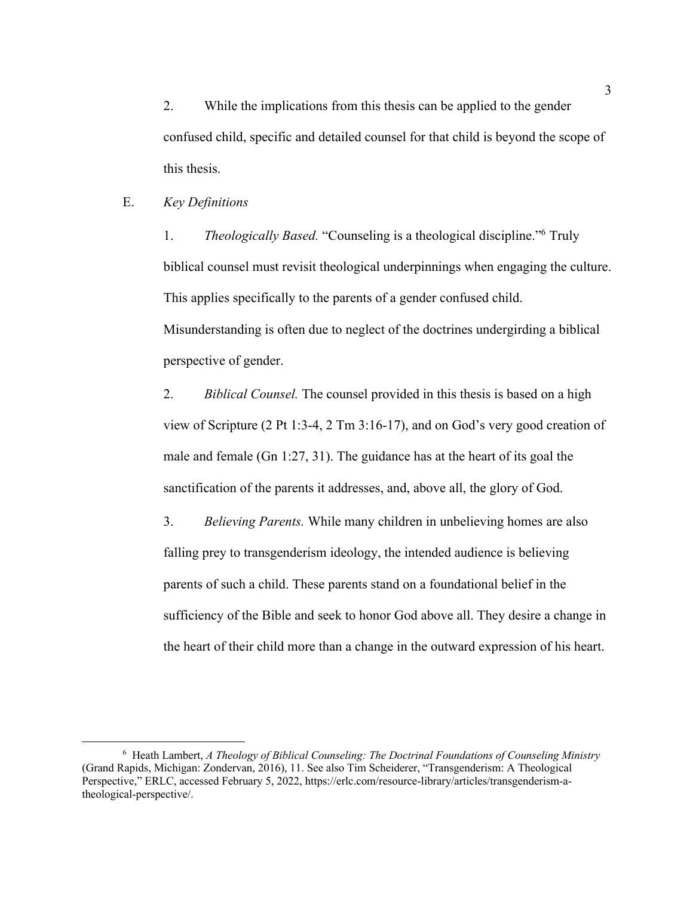2. While the implications from this thesis can be applied to the gender confused child, specific and detailed counsel for that child is beyond the scope of this thesis.

# E. *Key Definitions*

1. *Theologically Based.* "Counseling is a theological discipline."6 Truly biblical counsel must revisit theological underpinnings when engaging the culture. This applies specifically to the parents of a gender confused child. Misunderstanding is often due to neglect of the doctrines undergirding a biblical perspective of gender.

2. *Biblical Counsel.* The counsel provided in this thesis is based on a high view of Scripture (2 Pt 1:3-4, 2 Tm 3:16-17), and on God's very good creation of male and female (Gn 1:27, 31). The guidance has at the heart of its goal the sanctification of the parents it addresses, and, above all, the glory of God.

3. *Believing Parents.* While many children in unbelieving homes are also falling prey to transgenderism ideology, the intended audience is believing parents of such a child. These parents stand on a foundational belief in the sufficiency of the Bible and seek to honor God above all. They desire a change in the heart of their child more than a change in the outward expression of his heart.

<sup>6</sup> Heath Lambert, *A Theology of Biblical Counseling: The Doctrinal Foundations of Counseling Ministry* (Grand Rapids, Michigan: Zondervan, 2016), 11. See also Tim Scheiderer, "Transgenderism: A Theological Perspective," ERLC, accessed February 5, 2022, https://erlc.com/resource-library/articles/transgenderism-atheological-perspective/.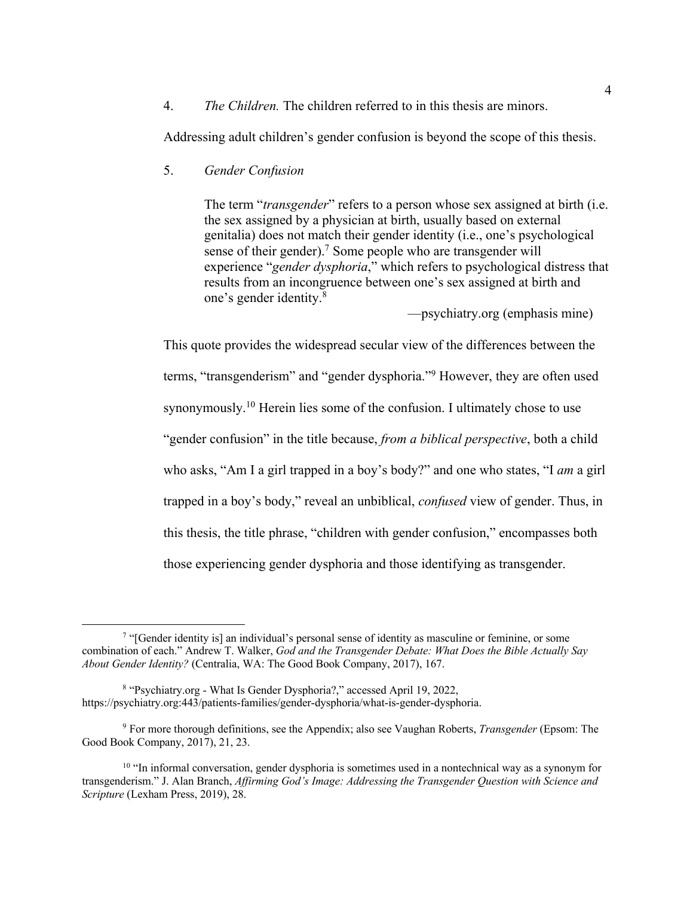4. *The Children.* The children referred to in this thesis are minors.

Addressing adult children's gender confusion is beyond the scope of this thesis.

5. *Gender Confusion*

The term "*transgender*" refers to a person whose sex assigned at birth (i.e. the sex assigned by a physician at birth, usually based on external genitalia) does not match their gender identity (i.e., one's psychological sense of their gender).<sup>7</sup> Some people who are transgender will experience "*gender dysphoria*," which refers to psychological distress that results from an incongruence between one's sex assigned at birth and one's gender identity.8

—psychiatry.org (emphasis mine)

This quote provides the widespread secular view of the differences between the terms, "transgenderism" and "gender dysphoria."9 However, they are often used synonymously.<sup>10</sup> Herein lies some of the confusion. I ultimately chose to use "gender confusion" in the title because, *from a biblical perspective*, both a child who asks, "Am I a girl trapped in a boy's body?" and one who states, "I *am* a girl trapped in a boy's body," reveal an unbiblical, *confused* view of gender. Thus, in this thesis, the title phrase, "children with gender confusion," encompasses both those experiencing gender dysphoria and those identifying as transgender.

<sup>7</sup> "[Gender identity is] an individual's personal sense of identity as masculine or feminine, or some combination of each." Andrew T. Walker, *God and the Transgender Debate: What Does the Bible Actually Say About Gender Identity?* (Centralia, WA: The Good Book Company, 2017), 167.

<sup>8</sup> "Psychiatry.org - What Is Gender Dysphoria?," accessed April 19, 2022, https://psychiatry.org:443/patients-families/gender-dysphoria/what-is-gender-dysphoria.

<sup>9</sup> For more thorough definitions, see the Appendix; also see Vaughan Roberts, *Transgender* (Epsom: The Good Book Company, 2017), 21, 23.

 $10$  "In informal conversation, gender dysphoria is sometimes used in a nontechnical way as a synonym for transgenderism." J. Alan Branch, *Affirming God's Image: Addressing the Transgender Question with Science and Scripture* (Lexham Press, 2019), 28.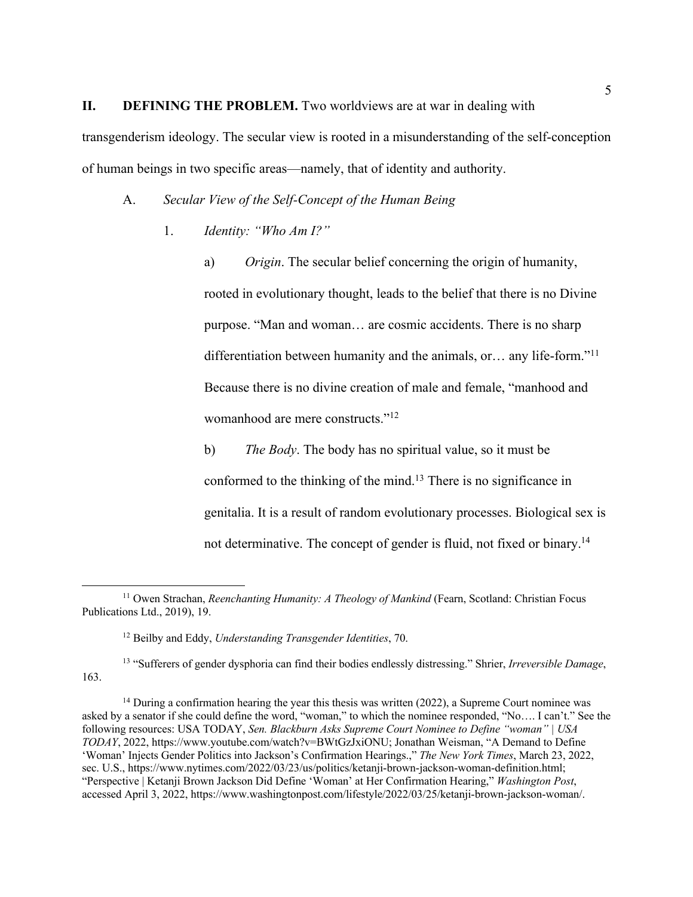### **II. DEFINING THE PROBLEM.** Two worldviews are at war in dealing with

transgenderism ideology. The secular view is rooted in a misunderstanding of the self-conception of human beings in two specific areas—namely, that of identity and authority.

- A. *Secular View of the Self-Concept of the Human Being*
	- 1. *Identity: "Who Am I?"*

a) *Origin*. The secular belief concerning the origin of humanity, rooted in evolutionary thought, leads to the belief that there is no Divine purpose. "Man and woman… are cosmic accidents. There is no sharp differentiation between humanity and the animals, or… any life-form."11 Because there is no divine creation of male and female, "manhood and womanhood are mere constructs."12

b) *The Body*. The body has no spiritual value, so it must be conformed to the thinking of the mind.<sup>13</sup> There is no significance in genitalia. It is a result of random evolutionary processes. Biological sex is not determinative. The concept of gender is fluid, not fixed or binary.<sup>14</sup>

<sup>13</sup> "Sufferers of gender dysphoria can find their bodies endlessly distressing." Shrier, *Irreversible Damage*, 163.

<sup>11</sup> Owen Strachan, *Reenchanting Humanity: A Theology of Mankind* (Fearn, Scotland: Christian Focus Publications Ltd., 2019), 19.

<sup>12</sup> Beilby and Eddy, *Understanding Transgender Identities*, 70.

 $14$  During a confirmation hearing the year this thesis was written (2022), a Supreme Court nominee was asked by a senator if she could define the word, "woman," to which the nominee responded, "No…. I can't." See the following resources: USA TODAY, *Sen. Blackburn Asks Supreme Court Nominee to Define "woman" | USA TODAY*, 2022, https://www.youtube.com/watch?v=BWtGzJxiONU; Jonathan Weisman, "A Demand to Define 'Woman' Injects Gender Politics into Jackson's Confirmation Hearings.," *The New York Times*, March 23, 2022, sec. U.S., https://www.nytimes.com/2022/03/23/us/politics/ketanji-brown-jackson-woman-definition.html; "Perspective | Ketanji Brown Jackson Did Define 'Woman' at Her Confirmation Hearing," *Washington Post*, accessed April 3, 2022, https://www.washingtonpost.com/lifestyle/2022/03/25/ketanji-brown-jackson-woman/.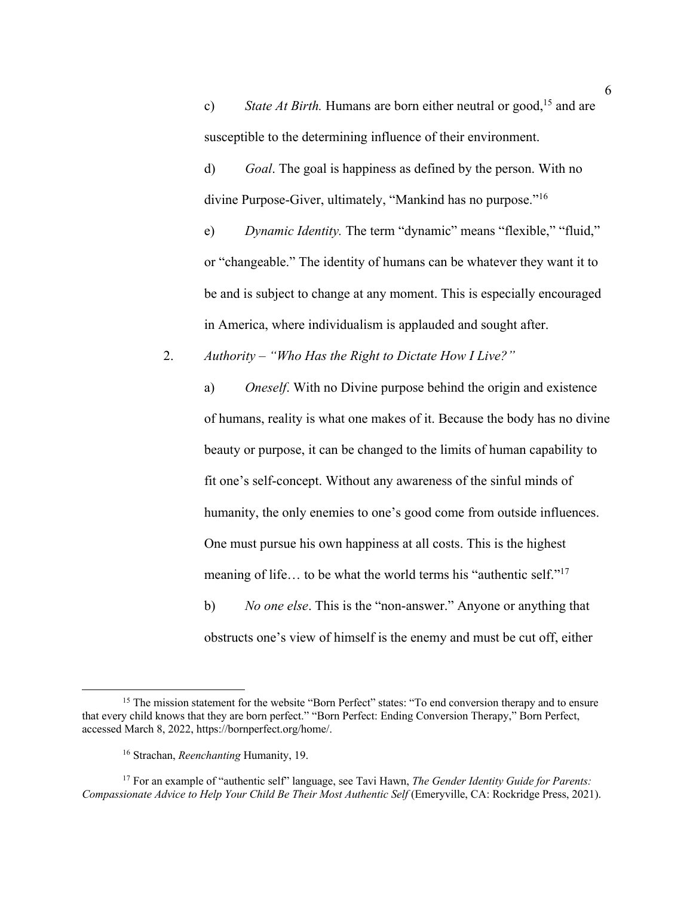c) State At Birth. Humans are born either neutral or good,<sup>15</sup> and are susceptible to the determining influence of their environment.

d) *Goal*. The goal is happiness as defined by the person. With no divine Purpose-Giver, ultimately, "Mankind has no purpose."16

e) *Dynamic Identity.* The term "dynamic" means "flexible," "fluid," or "changeable." The identity of humans can be whatever they want it to be and is subject to change at any moment. This is especially encouraged in America, where individualism is applauded and sought after.

2. *Authority – "Who Has the Right to Dictate How I Live?"*

a) *Oneself*. With no Divine purpose behind the origin and existence of humans, reality is what one makes of it. Because the body has no divine beauty or purpose, it can be changed to the limits of human capability to fit one's self-concept. Without any awareness of the sinful minds of humanity, the only enemies to one's good come from outside influences. One must pursue his own happiness at all costs. This is the highest meaning of life... to be what the world terms his "authentic self."<sup>17</sup> b) *No one else*. This is the "non-answer." Anyone or anything that obstructs one's view of himself is the enemy and must be cut off, either

<sup>&</sup>lt;sup>15</sup> The mission statement for the website "Born Perfect" states: "To end conversion therapy and to ensure that every child knows that they are born perfect." "Born Perfect: Ending Conversion Therapy," Born Perfect, accessed March 8, 2022, https://bornperfect.org/home/.

<sup>16</sup> Strachan, *Reenchanting* Humanity, 19.

<sup>17</sup> For an example of "authentic self" language, see Tavi Hawn, *The Gender Identity Guide for Parents: Compassionate Advice to Help Your Child Be Their Most Authentic Self* (Emeryville, CA: Rockridge Press, 2021).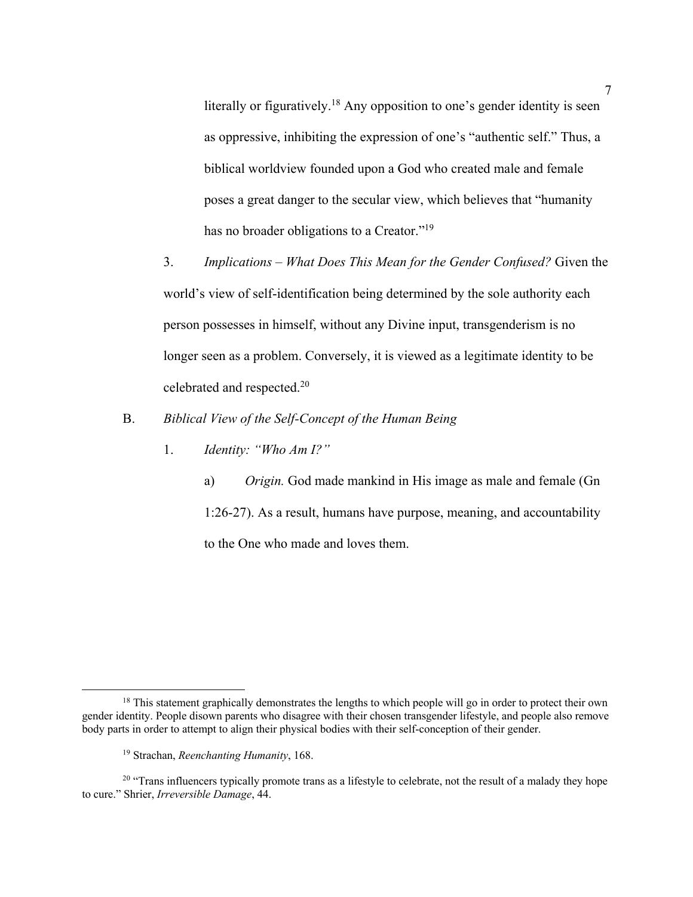literally or figuratively.<sup>18</sup> Any opposition to one's gender identity is seen as oppressive, inhibiting the expression of one's "authentic self." Thus, a biblical worldview founded upon a God who created male and female poses a great danger to the secular view, which believes that "humanity has no broader obligations to a Creator."19

- 3. *Implications – What Does This Mean for the Gender Confused?* Given the world's view of self-identification being determined by the sole authority each person possesses in himself, without any Divine input, transgenderism is no longer seen as a problem. Conversely, it is viewed as a legitimate identity to be celebrated and respected.20
- B. *Biblical View of the Self-Concept of the Human Being*
	- 1. *Identity: "Who Am I?"*

a) *Origin.* God made mankind in His image as male and female (Gn 1:26-27). As a result, humans have purpose, meaning, and accountability to the One who made and loves them.

<sup>&</sup>lt;sup>18</sup> This statement graphically demonstrates the lengths to which people will go in order to protect their own gender identity. People disown parents who disagree with their chosen transgender lifestyle, and people also remove body parts in order to attempt to align their physical bodies with their self-conception of their gender.

<sup>19</sup> Strachan, *Reenchanting Humanity*, 168.

<sup>&</sup>lt;sup>20</sup> "Trans influencers typically promote trans as a lifestyle to celebrate, not the result of a malady they hope to cure." Shrier, *Irreversible Damage*, 44.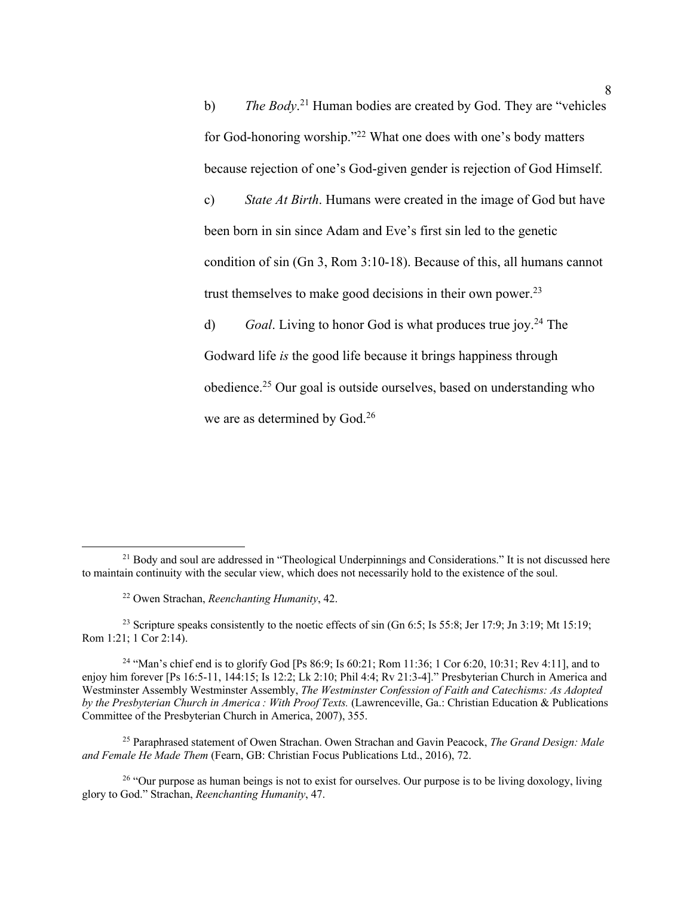b) *The Body*. <sup>21</sup> Human bodies are created by God. They are "vehicles for God-honoring worship."22 What one does with one's body matters because rejection of one's God-given gender is rejection of God Himself. c) *State At Birth*. Humans were created in the image of God but have

been born in sin since Adam and Eve's first sin led to the genetic condition of sin (Gn 3, Rom 3:10-18). Because of this, all humans cannot trust themselves to make good decisions in their own power.<sup>23</sup>

d) *Goal*. Living to honor God is what produces true joy. <sup>24</sup> The Godward life *is* the good life because it brings happiness through obedience.25 Our goal is outside ourselves, based on understanding who we are as determined by God.<sup>26</sup>

<sup>&</sup>lt;sup>21</sup> Body and soul are addressed in "Theological Underpinnings and Considerations." It is not discussed here to maintain continuity with the secular view, which does not necessarily hold to the existence of the soul.

<sup>22</sup> Owen Strachan, *Reenchanting Humanity*, 42.

<sup>&</sup>lt;sup>23</sup> Scripture speaks consistently to the noetic effects of sin (Gn 6:5; Is 55:8; Jer 17:9; Jn 3:19; Mt 15:19; Rom 1:21; 1 Cor 2:14).

<sup>&</sup>lt;sup>24</sup> "Man's chief end is to glorify God [Ps 86:9; Is 60:21; Rom 11:36; 1 Cor 6:20, 10:31; Rev 4:11], and to enjoy him forever [Ps 16:5-11, 144:15; Is 12:2; Lk 2:10; Phil 4:4; Rv 21:3-4]." Presbyterian Church in America and Westminster Assembly Westminster Assembly, *The Westminster Confession of Faith and Catechisms: As Adopted by the Presbyterian Church in America : With Proof Texts.* (Lawrenceville, Ga.: Christian Education & Publications Committee of the Presbyterian Church in America, 2007), 355.

<sup>25</sup> Paraphrased statement of Owen Strachan. Owen Strachan and Gavin Peacock, *The Grand Design: Male and Female He Made Them* (Fearn, GB: Christian Focus Publications Ltd., 2016), 72.

 $26$  "Our purpose as human beings is not to exist for ourselves. Our purpose is to be living doxology, living glory to God." Strachan, *Reenchanting Humanity*, 47.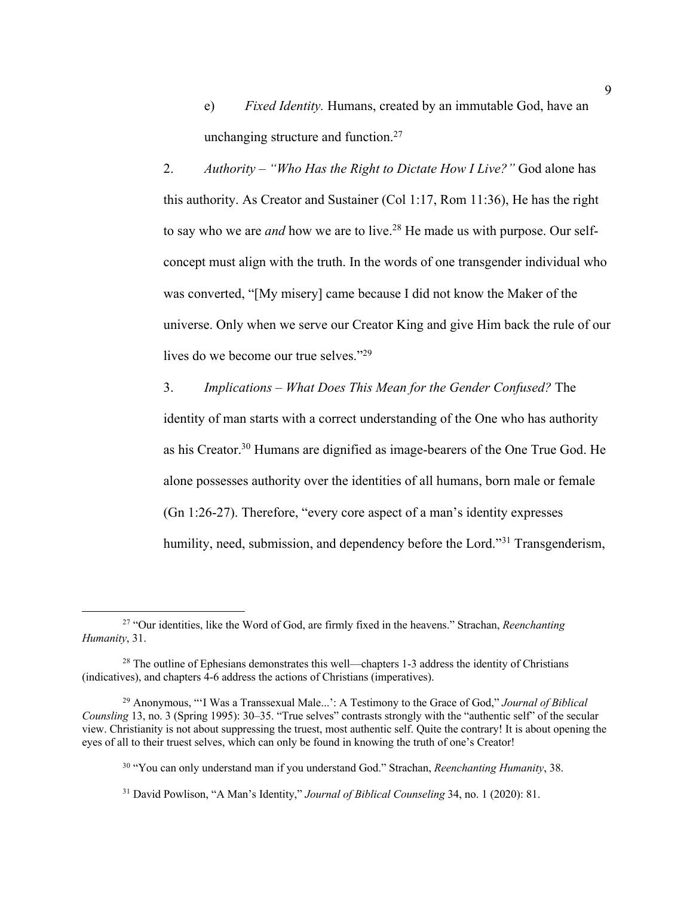e) *Fixed Identity.* Humans, created by an immutable God, have an unchanging structure and function.<sup>27</sup>

2. *Authority – "Who Has the Right to Dictate How I Live?"* God alone has this authority. As Creator and Sustainer (Col 1:17, Rom 11:36), He has the right to say who we are *and* how we are to live.<sup>28</sup> He made us with purpose. Our selfconcept must align with the truth. In the words of one transgender individual who was converted, "[My misery] came because I did not know the Maker of the universe. Only when we serve our Creator King and give Him back the rule of our lives do we become our true selves."<sup>29</sup>

3. *Implications – What Does This Mean for the Gender Confused?* The identity of man starts with a correct understanding of the One who has authority as his Creator.30 Humans are dignified as image-bearers of the One True God. He alone possesses authority over the identities of all humans, born male or female (Gn 1:26-27). Therefore, "every core aspect of a man's identity expresses humility, need, submission, and dependency before the Lord."<sup>31</sup> Transgenderism,

<sup>27</sup> "Our identities, like the Word of God, are firmly fixed in the heavens." Strachan, *Reenchanting Humanity*, 31.

 $28$  The outline of Ephesians demonstrates this well—chapters 1-3 address the identity of Christians (indicatives), and chapters 4-6 address the actions of Christians (imperatives).

<sup>29</sup> Anonymous, "'I Was a Transsexual Male...': A Testimony to the Grace of God," *Journal of Biblical Counsling* 13, no. 3 (Spring 1995): 30–35. "True selves" contrasts strongly with the "authentic self" of the secular view. Christianity is not about suppressing the truest, most authentic self. Quite the contrary! It is about opening the eyes of all to their truest selves, which can only be found in knowing the truth of one's Creator!

<sup>30</sup> "You can only understand man if you understand God." Strachan, *Reenchanting Humanity*, 38.

<sup>31</sup> David Powlison, "A Man's Identity," *Journal of Biblical Counseling* 34, no. 1 (2020): 81.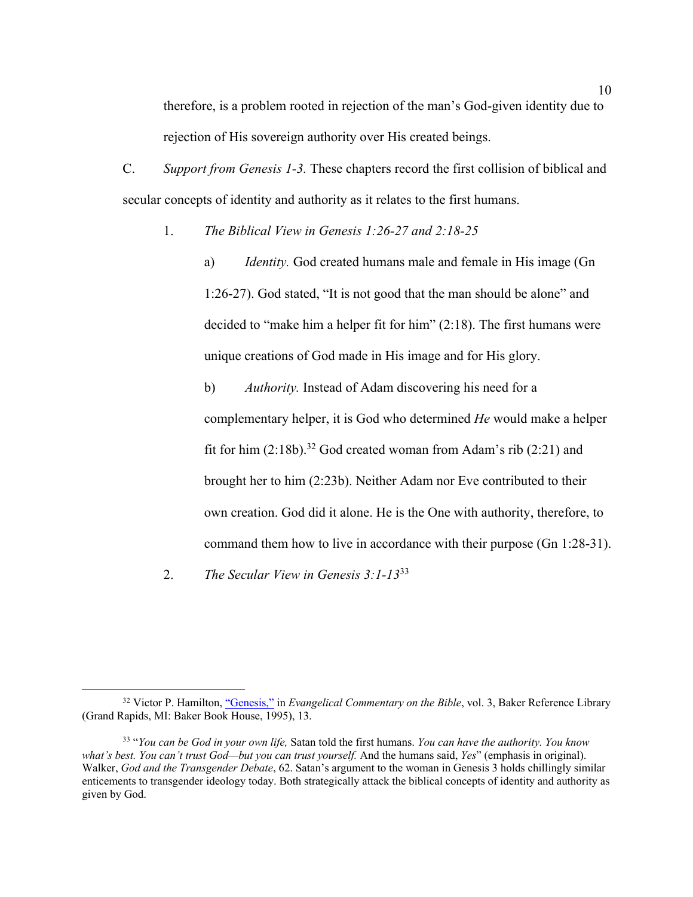therefore, is a problem rooted in rejection of the man's God-given identity due to rejection of His sovereign authority over His created beings.

C. *Support from Genesis 1-3.* These chapters record the first collision of biblical and secular concepts of identity and authority as it relates to the first humans.

1. *The Biblical View in Genesis 1:26-27 and 2:18-25*

a) *Identity.* God created humans male and female in His image (Gn 1:26-27). God stated, "It is not good that the man should be alone" and decided to "make him a helper fit for him" (2:18). The first humans were unique creations of God made in His image and for His glory.

b) *Authority.* Instead of Adam discovering his need for a complementary helper, it is God who determined *He* would make a helper fit for him  $(2:18b)$ .<sup>32</sup> God created woman from Adam's rib  $(2:21)$  and brought her to him (2:23b). Neither Adam nor Eve contributed to their own creation. God did it alone. He is the One with authority, therefore, to command them how to live in accordance with their purpose (Gn 1:28-31).

2. *The Secular View in Genesis 3:1-13*<sup>33</sup>

<sup>&</sup>lt;sup>32</sup> Victor P. Hamilton, "Genesis," in *Evangelical Commentary on the Bible*, vol. 3, Baker Reference Library (Grand Rapids, MI: Baker Book House, 1995), 13.

<sup>33</sup> "*You can be God in your own life,* Satan told the first humans. *You can have the authority. You know what's best. You can't trust God—but you can trust yourself.* And the humans said, *Yes*" (emphasis in original). Walker, *God and the Transgender Debate*, 62. Satan's argument to the woman in Genesis 3 holds chillingly similar enticements to transgender ideology today. Both strategically attack the biblical concepts of identity and authority as given by God.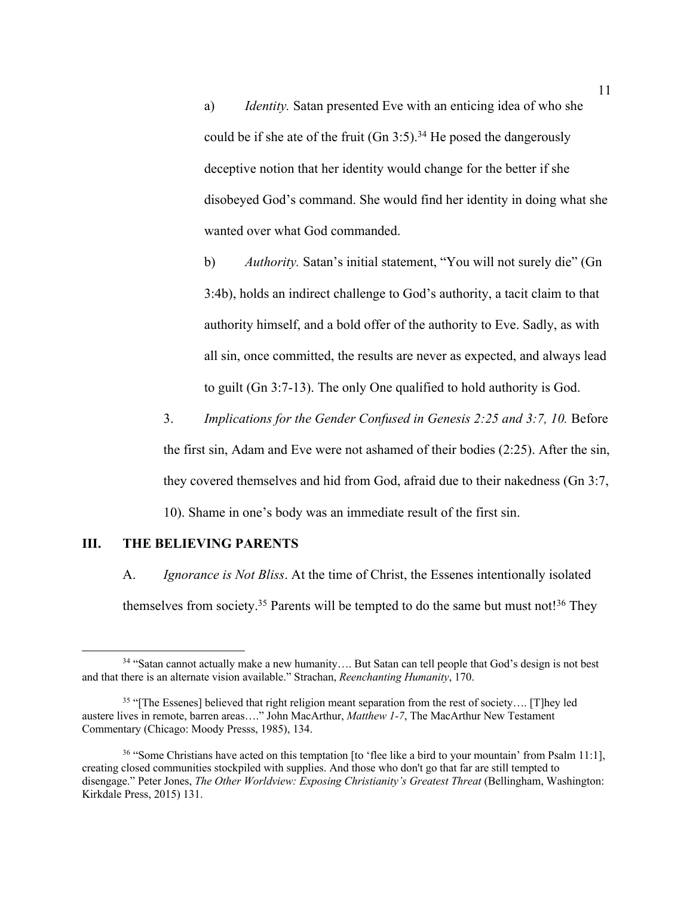a) *Identity.* Satan presented Eve with an enticing idea of who she could be if she ate of the fruit (Gn 3:5).<sup>34</sup> He posed the dangerously deceptive notion that her identity would change for the better if she disobeyed God's command. She would find her identity in doing what she wanted over what God commanded.

b) *Authority.* Satan's initial statement, "You will not surely die" (Gn 3:4b), holds an indirect challenge to God's authority, a tacit claim to that authority himself, and a bold offer of the authority to Eve. Sadly, as with all sin, once committed, the results are never as expected, and always lead to guilt (Gn 3:7-13). The only One qualified to hold authority is God.

3. *Implications for the Gender Confused in Genesis 2:25 and 3:7, 10.* Before the first sin, Adam and Eve were not ashamed of their bodies (2:25). After the sin, they covered themselves and hid from God, afraid due to their nakedness (Gn 3:7, 10). Shame in one's body was an immediate result of the first sin.

### **III. THE BELIEVING PARENTS**

A. *Ignorance is Not Bliss*. At the time of Christ, the Essenes intentionally isolated themselves from society.<sup>35</sup> Parents will be tempted to do the same but must not!<sup>36</sup> They

<sup>&</sup>lt;sup>34</sup> "Satan cannot actually make a new humanity.... But Satan can tell people that God's design is not best and that there is an alternate vision available." Strachan, *Reenchanting Humanity*, 170.

<sup>&</sup>lt;sup>35</sup> "[The Essenes] believed that right religion meant separation from the rest of society.... [T]hey led austere lives in remote, barren areas…." John MacArthur, *Matthew 1-7*, The MacArthur New Testament Commentary (Chicago: Moody Presss, 1985), 134.

<sup>&</sup>lt;sup>36</sup> "Some Christians have acted on this temptation [to 'flee like a bird to your mountain' from Psalm 11:1], creating closed communities stockpiled with supplies. And those who don't go that far are still tempted to disengage." Peter Jones, *The Other Worldview: Exposing Christianity's Greatest Threat* (Bellingham, Washington: Kirkdale Press, 2015) 131.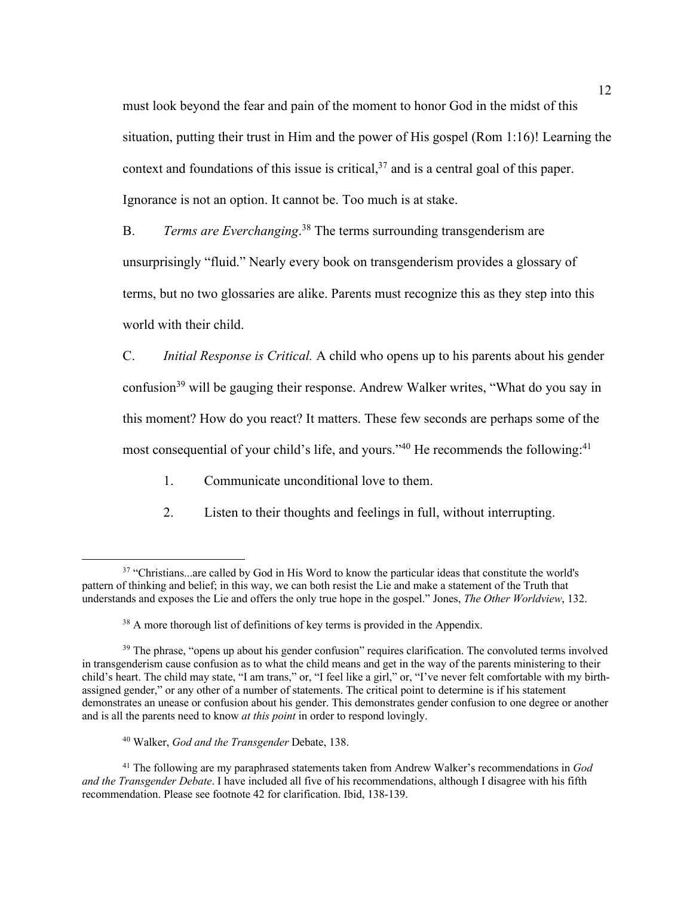must look beyond the fear and pain of the moment to honor God in the midst of this situation, putting their trust in Him and the power of His gospel (Rom 1:16)! Learning the context and foundations of this issue is critical, <sup>37</sup> and is a central goal of this paper. Ignorance is not an option. It cannot be. Too much is at stake.

B. *Terms are Everchanging*. <sup>38</sup> The terms surrounding transgenderism are unsurprisingly "fluid." Nearly every book on transgenderism provides a glossary of terms, but no two glossaries are alike. Parents must recognize this as they step into this world with their child.

C. *Initial Response is Critical.* A child who opens up to his parents about his gender confusion<sup>39</sup> will be gauging their response. Andrew Walker writes, "What do you say in this moment? How do you react? It matters. These few seconds are perhaps some of the most consequential of your child's life, and yours."<sup>40</sup> He recommends the following:<sup>41</sup>

- 1. Communicate unconditional love to them.
- 2. Listen to their thoughts and feelings in full, without interrupting.

#### <sup>40</sup> Walker, *God and the Transgender* Debate, 138.

<sup>41</sup> The following are my paraphrased statements taken from Andrew Walker's recommendations in *God and the Transgender Debate*. I have included all five of his recommendations, although I disagree with his fifth recommendation. Please see footnote 42 for clarification. Ibid, 138-139.

<sup>&</sup>lt;sup>37</sup> "Christians...are called by God in His Word to know the particular ideas that constitute the world's pattern of thinking and belief; in this way, we can both resist the Lie and make a statement of the Truth that understands and exposes the Lie and offers the only true hope in the gospel." Jones, *The Other Worldview*, 132.

<sup>&</sup>lt;sup>38</sup> A more thorough list of definitions of key terms is provided in the Appendix.

<sup>&</sup>lt;sup>39</sup> The phrase, "opens up about his gender confusion" requires clarification. The convoluted terms involved in transgenderism cause confusion as to what the child means and get in the way of the parents ministering to their child's heart. The child may state, "I am trans," or, "I feel like a girl," or, "I've never felt comfortable with my birthassigned gender," or any other of a number of statements. The critical point to determine is if his statement demonstrates an unease or confusion about his gender. This demonstrates gender confusion to one degree or another and is all the parents need to know *at this point* in order to respond lovingly.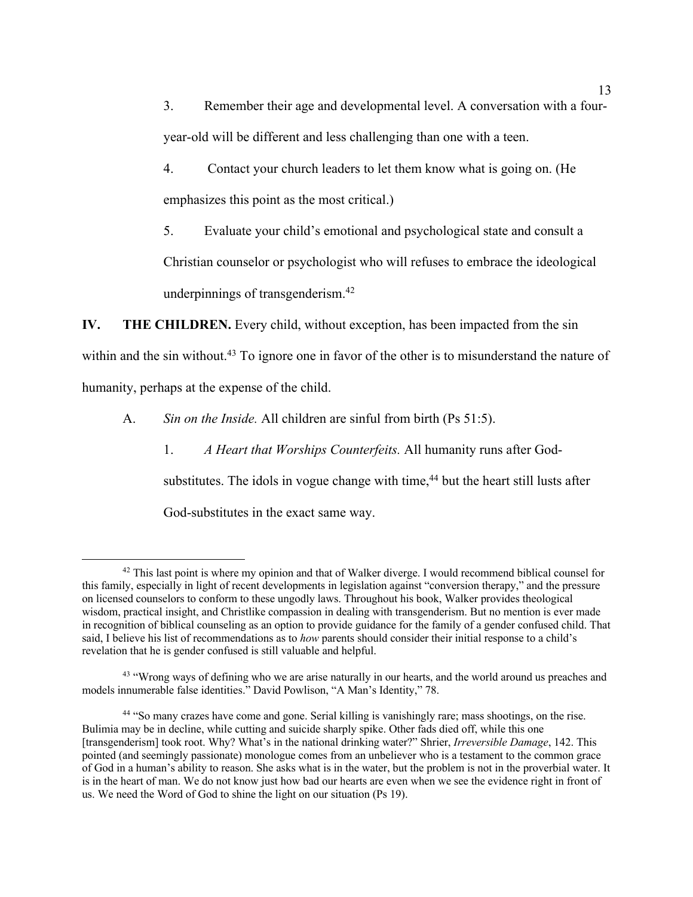3. Remember their age and developmental level. A conversation with a fouryear-old will be different and less challenging than one with a teen.

4. Contact your church leaders to let them know what is going on. (He emphasizes this point as the most critical.)

5. Evaluate your child's emotional and psychological state and consult a Christian counselor or psychologist who will refuses to embrace the ideological underpinnings of transgenderism.42

**IV. THE CHILDREN.** Every child, without exception, has been impacted from the sin within and the sin without.<sup>43</sup> To ignore one in favor of the other is to misunderstand the nature of humanity, perhaps at the expense of the child.

A. *Sin on the Inside.* All children are sinful from birth (Ps 51:5).

1. *A Heart that Worships Counterfeits.* All humanity runs after Godsubstitutes. The idols in vogue change with time, $44$  but the heart still lusts after God-substitutes in the exact same way.

<sup>&</sup>lt;sup>42</sup> This last point is where my opinion and that of Walker diverge. I would recommend biblical counsel for this family, especially in light of recent developments in legislation against "conversion therapy," and the pressure on licensed counselors to conform to these ungodly laws. Throughout his book, Walker provides theological wisdom, practical insight, and Christlike compassion in dealing with transgenderism. But no mention is ever made in recognition of biblical counseling as an option to provide guidance for the family of a gender confused child. That said, I believe his list of recommendations as to *how* parents should consider their initial response to a child's revelation that he is gender confused is still valuable and helpful.

<sup>&</sup>lt;sup>43</sup> "Wrong ways of defining who we are arise naturally in our hearts, and the world around us preaches and models innumerable false identities." David Powlison, "A Man's Identity," 78.

<sup>44</sup> "So many crazes have come and gone. Serial killing is vanishingly rare; mass shootings, on the rise. Bulimia may be in decline, while cutting and suicide sharply spike. Other fads died off, while this one [transgenderism] took root. Why? What's in the national drinking water?" Shrier, *Irreversible Damage*, 142. This pointed (and seemingly passionate) monologue comes from an unbeliever who is a testament to the common grace of God in a human's ability to reason. She asks what is in the water, but the problem is not in the proverbial water. It is in the heart of man. We do not know just how bad our hearts are even when we see the evidence right in front of us. We need the Word of God to shine the light on our situation (Ps 19).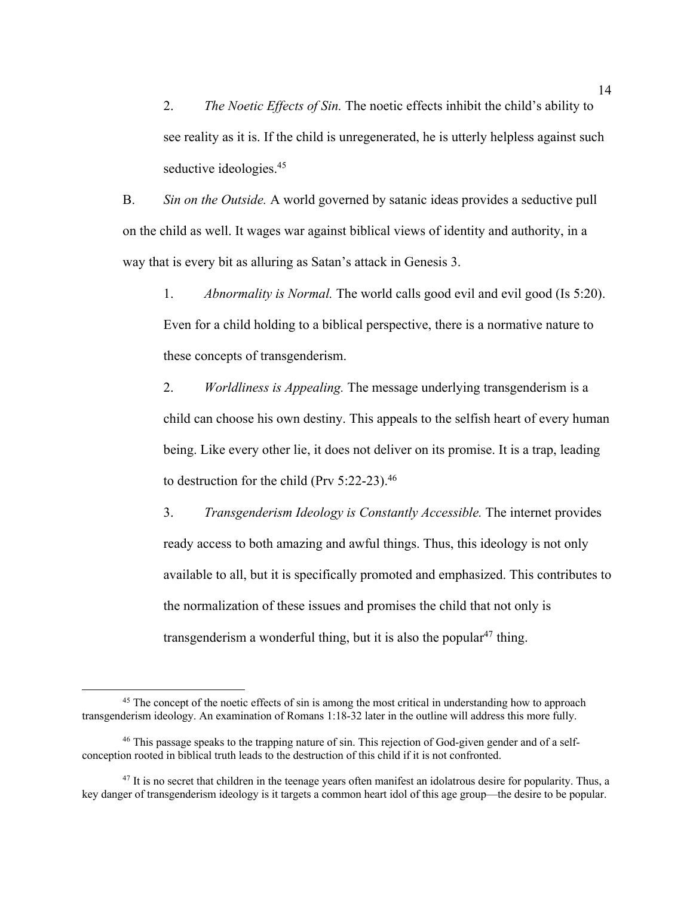2. *The Noetic Effects of Sin.* The noetic effects inhibit the child's ability to see reality as it is. If the child is unregenerated, he is utterly helpless against such seductive ideologies.<sup>45</sup>

B. *Sin on the Outside.* A world governed by satanic ideas provides a seductive pull on the child as well. It wages war against biblical views of identity and authority, in a way that is every bit as alluring as Satan's attack in Genesis 3.

1. *Abnormality is Normal.* The world calls good evil and evil good (Is 5:20). Even for a child holding to a biblical perspective, there is a normative nature to these concepts of transgenderism.

2. *Worldliness is Appealing.* The message underlying transgenderism is a child can choose his own destiny. This appeals to the selfish heart of every human being. Like every other lie, it does not deliver on its promise. It is a trap, leading to destruction for the child (Prv 5:22-23). 46

3. *Transgenderism Ideology is Constantly Accessible.* The internet provides ready access to both amazing and awful things. Thus, this ideology is not only available to all, but it is specifically promoted and emphasized. This contributes to the normalization of these issues and promises the child that not only is transgenderism a wonderful thing, but it is also the popular<sup>47</sup> thing.

<sup>&</sup>lt;sup>45</sup> The concept of the noetic effects of sin is among the most critical in understanding how to approach transgenderism ideology. An examination of Romans 1:18-32 later in the outline will address this more fully.

<sup>46</sup> This passage speaks to the trapping nature of sin. This rejection of God-given gender and of a selfconception rooted in biblical truth leads to the destruction of this child if it is not confronted.

<sup>&</sup>lt;sup>47</sup> It is no secret that children in the teenage years often manifest an idolatrous desire for popularity. Thus, a key danger of transgenderism ideology is it targets a common heart idol of this age group—the desire to be popular.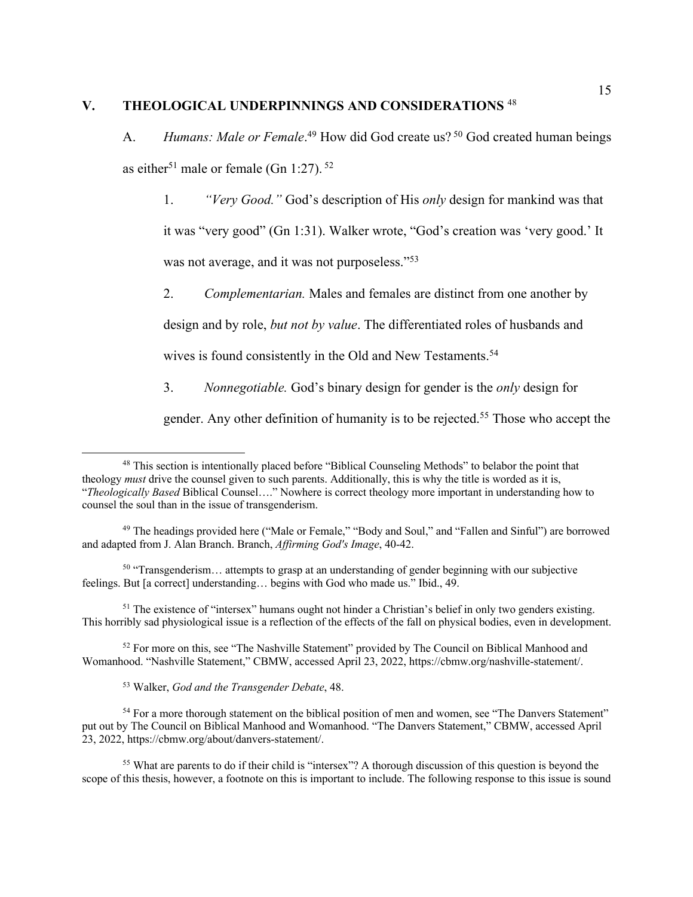# **V. THEOLOGICAL UNDERPINNINGS AND CONSIDERATIONS** <sup>48</sup>

A. Humans: Male or Female.<sup>49</sup> How did God create us?<sup>50</sup> God created human beings as either<sup>51</sup> male or female (Gn 1:27).  $52$ 

1. *"Very Good."* God's description of His *only* design for mankind was that it was "very good" (Gn 1:31). Walker wrote, "God's creation was 'very good.' It was not average, and it was not purposeless."<sup>53</sup>

2. *Complementarian.* Males and females are distinct from one another by

design and by role, *but not by value*. The differentiated roles of husbands and

wives is found consistently in the Old and New Testaments.<sup>54</sup>

3. *Nonnegotiable.* God's binary design for gender is the *only* design for

gender. Any other definition of humanity is to be rejected.<sup>55</sup> Those who accept the

 $50$  "Transgenderism... attempts to grasp at an understanding of gender beginning with our subjective feelings. But [a correct] understanding… begins with God who made us." Ibid., 49.

<sup>51</sup> The existence of "intersex" humans ought not hinder a Christian's belief in only two genders existing. This horribly sad physiological issue is a reflection of the effects of the fall on physical bodies, even in development.

<sup>52</sup> For more on this, see "The Nashville Statement" provided by The Council on Biblical Manhood and Womanhood. "Nashville Statement," CBMW, accessed April 23, 2022, https://cbmw.org/nashville-statement/.

<sup>53</sup> Walker, *God and the Transgender Debate*, 48.

<sup>54</sup> For a more thorough statement on the biblical position of men and women, see "The Danvers Statement" put out by The Council on Biblical Manhood and Womanhood. "The Danvers Statement," CBMW, accessed April 23, 2022, https://cbmw.org/about/danvers-statement/.

<sup>55</sup> What are parents to do if their child is "intersex"? A thorough discussion of this question is beyond the scope of this thesis, however, a footnote on this is important to include. The following response to this issue is sound

<sup>&</sup>lt;sup>48</sup> This section is intentionally placed before "Biblical Counseling Methods" to belabor the point that theology *must* drive the counsel given to such parents. Additionally, this is why the title is worded as it is, "*Theologically Based* Biblical Counsel…." Nowhere is correct theology more important in understanding how to counsel the soul than in the issue of transgenderism.

<sup>&</sup>lt;sup>49</sup> The headings provided here ("Male or Female," "Body and Soul," and "Fallen and Sinful") are borrowed and adapted from J. Alan Branch. Branch, *Affirming God's Image*, 40-42.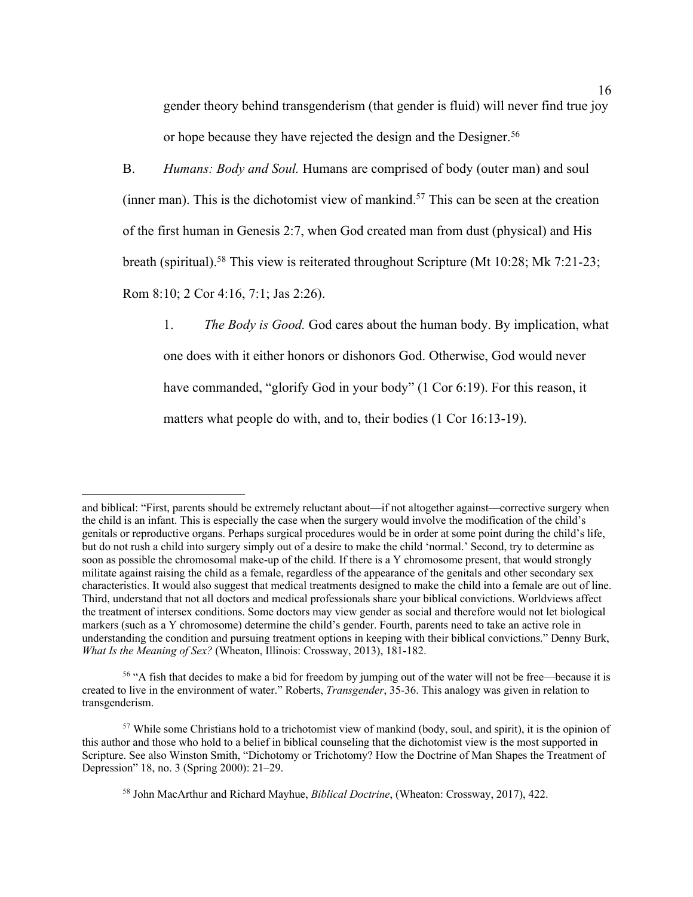gender theory behind transgenderism (that gender is fluid) will never find true joy or hope because they have rejected the design and the Designer.<sup>56</sup>

B. *Humans: Body and Soul.* Humans are comprised of body (outer man) and soul (inner man). This is the dichotomist view of mankind.<sup>57</sup> This can be seen at the creation of the first human in Genesis 2:7, when God created man from dust (physical) and His breath (spiritual).<sup>58</sup> This view is reiterated throughout Scripture (Mt 10:28; Mk 7:21-23; Rom 8:10; 2 Cor 4:16, 7:1; Jas 2:26).

1. *The Body is Good.* God cares about the human body. By implication, what one does with it either honors or dishonors God. Otherwise, God would never have commanded, "glorify God in your body" (1 Cor 6:19). For this reason, it matters what people do with, and to, their bodies (1 Cor 16:13-19).

and biblical: "First, parents should be extremely reluctant about—if not altogether against—corrective surgery when the child is an infant. This is especially the case when the surgery would involve the modification of the child's genitals or reproductive organs. Perhaps surgical procedures would be in order at some point during the child's life, but do not rush a child into surgery simply out of a desire to make the child 'normal.' Second, try to determine as soon as possible the chromosomal make-up of the child. If there is a Y chromosome present, that would strongly militate against raising the child as a female, regardless of the appearance of the genitals and other secondary sex characteristics. It would also suggest that medical treatments designed to make the child into a female are out of line. Third, understand that not all doctors and medical professionals share your biblical convictions. Worldviews affect the treatment of intersex conditions. Some doctors may view gender as social and therefore would not let biological markers (such as a Y chromosome) determine the child's gender. Fourth, parents need to take an active role in understanding the condition and pursuing treatment options in keeping with their biblical convictions." Denny Burk, *What Is the Meaning of Sex?* (Wheaton, Illinois: Crossway, 2013), 181-182.

<sup>&</sup>lt;sup>56</sup> "A fish that decides to make a bid for freedom by jumping out of the water will not be free—because it is created to live in the environment of water." Roberts, *Transgender*, 35-36. This analogy was given in relation to transgenderism.

<sup>57</sup> While some Christians hold to a trichotomist view of mankind (body, soul, and spirit), it is the opinion of this author and those who hold to a belief in biblical counseling that the dichotomist view is the most supported in Scripture. See also Winston Smith, "Dichotomy or Trichotomy? How the Doctrine of Man Shapes the Treatment of Depression" 18, no. 3 (Spring 2000): 21–29.

<sup>58</sup> John MacArthur and Richard Mayhue, *Biblical Doctrine*, (Wheaton: Crossway, 2017), 422.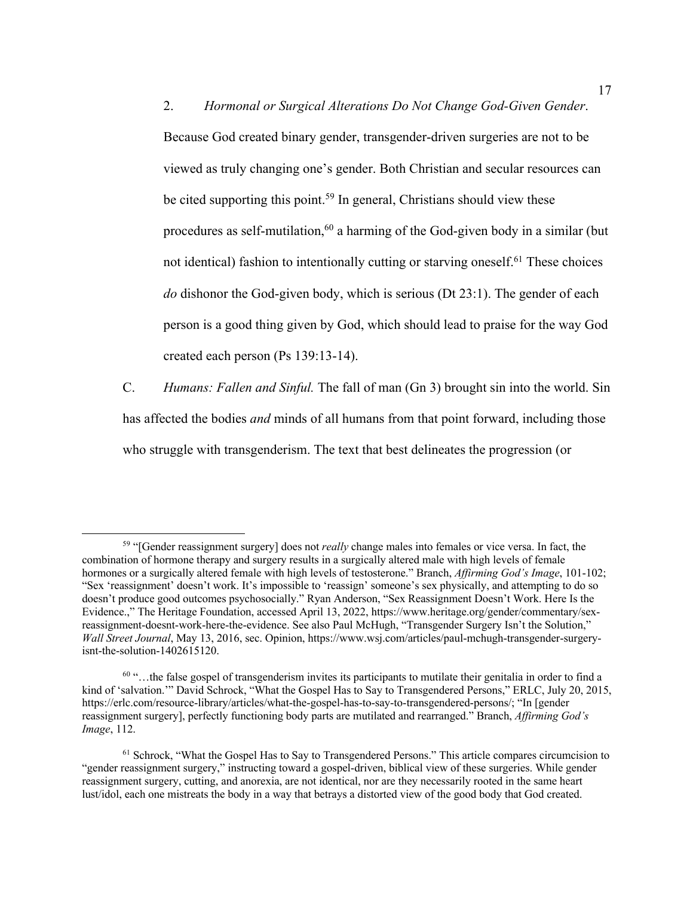2. *Hormonal or Surgical Alterations Do Not Change God-Given Gender*. Because God created binary gender, transgender-driven surgeries are not to be viewed as truly changing one's gender. Both Christian and secular resources can be cited supporting this point.<sup>59</sup> In general, Christians should view these procedures as self-mutilation, <sup>60</sup> a harming of the God-given body in a similar (but not identical) fashion to intentionally cutting or starving oneself.<sup> $61$ </sup> These choices *do* dishonor the God-given body, which is serious (Dt 23:1). The gender of each person is a good thing given by God, which should lead to praise for the way God created each person (Ps 139:13-14).

C. *Humans: Fallen and Sinful.* The fall of man (Gn 3) brought sin into the world. Sin has affected the bodies *and* minds of all humans from that point forward, including those who struggle with transgenderism. The text that best delineates the progression (or

<sup>59</sup> "[Gender reassignment surgery] does not *really* change males into females or vice versa. In fact, the combination of hormone therapy and surgery results in a surgically altered male with high levels of female hormones or a surgically altered female with high levels of testosterone." Branch, *Affirming God's Image*, 101-102; "Sex 'reassignment' doesn't work. It's impossible to 'reassign' someone's sex physically, and attempting to do so doesn't produce good outcomes psychosocially." Ryan Anderson, "Sex Reassignment Doesn't Work. Here Is the Evidence.," The Heritage Foundation, accessed April 13, 2022, https://www.heritage.org/gender/commentary/sexreassignment-doesnt-work-here-the-evidence. See also Paul McHugh, "Transgender Surgery Isn't the Solution," *Wall Street Journal*, May 13, 2016, sec. Opinion, https://www.wsj.com/articles/paul-mchugh-transgender-surgeryisnt-the-solution-1402615120.

 $60$  "...the false gospel of transgenderism invites its participants to mutilate their genitalia in order to find a kind of 'salvation.'" David Schrock, "What the Gospel Has to Say to Transgendered Persons," ERLC, July 20, 2015, https://erlc.com/resource-library/articles/what-the-gospel-has-to-say-to-transgendered-persons/; "In [gender reassignment surgery], perfectly functioning body parts are mutilated and rearranged." Branch, *Affirming God's Image*, 112.

 $61$  Schrock, "What the Gospel Has to Say to Transgendered Persons." This article compares circumcision to "gender reassignment surgery," instructing toward a gospel-driven, biblical view of these surgeries. While gender reassignment surgery, cutting, and anorexia, are not identical, nor are they necessarily rooted in the same heart lust/idol, each one mistreats the body in a way that betrays a distorted view of the good body that God created.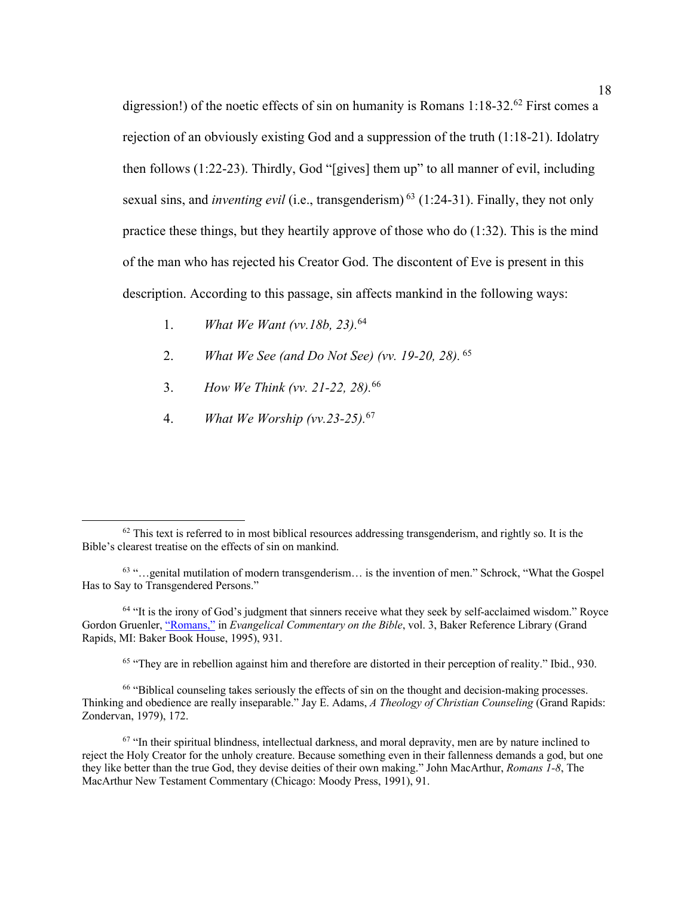digression!) of the noetic effects of sin on humanity is Romans 1:18-32.<sup>62</sup> First comes a rejection of an obviously existing God and a suppression of the truth (1:18-21). Idolatry then follows (1:22-23). Thirdly, God "[gives] them up" to all manner of evil, including sexual sins, and *inventing evil* (i.e., transgenderism) <sup>63</sup> (1:24-31). Finally, they not only practice these things, but they heartily approve of those who do (1:32). This is the mind of the man who has rejected his Creator God. The discontent of Eve is present in this description. According to this passage, sin affects mankind in the following ways:

- 1. *What We Want (vv.18b, 23).* 64
- 2. *What We See (and Do Not See) (vv. 19-20, 28).* <sup>65</sup>
- 3. *How We Think (vv. 21-22, 28).* 66
- 4. *What We Worship (vv.23-25).* 67

<sup>65</sup> "They are in rebellion against him and therefore are distorted in their perception of reality." Ibid., 930.

<sup>66</sup> "Biblical counseling takes seriously the effects of sin on the thought and decision-making processes. Thinking and obedience are really inseparable." Jay E. Adams, *A Theology of Christian Counseling* (Grand Rapids: Zondervan, 1979), 172.

 $62$  This text is referred to in most biblical resources addressing transgenderism, and rightly so. It is the Bible's clearest treatise on the effects of sin on mankind.

<sup>63</sup> "…genital mutilation of modern transgenderism… is the invention of men." Schrock, "What the Gospel Has to Say to Transgendered Persons."

<sup>&</sup>lt;sup>64</sup> "It is the irony of God's judgment that sinners receive what they seek by self-acclaimed wisdom." Royce Gordon Gruenler, "Romans," in *Evangelical Commentary on the Bible*, vol. 3, Baker Reference Library (Grand Rapids, MI: Baker Book House, 1995), 931.

 $67$  "In their spiritual blindness, intellectual darkness, and moral depravity, men are by nature inclined to reject the Holy Creator for the unholy creature. Because something even in their fallenness demands a god, but one they like better than the true God, they devise deities of their own making." John MacArthur, *Romans 1-8*, The MacArthur New Testament Commentary (Chicago: Moody Press, 1991), 91.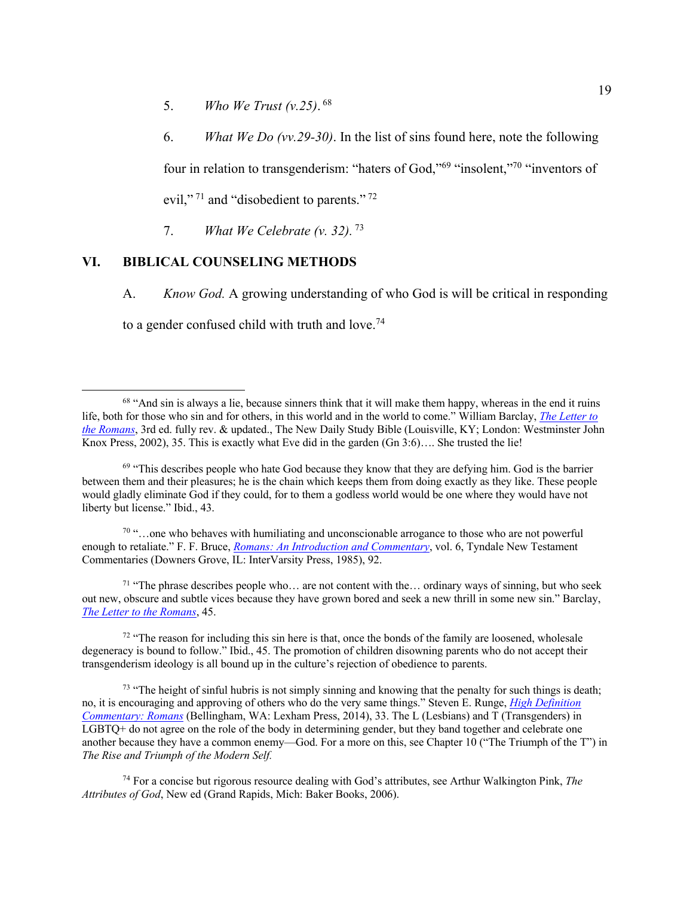- 5. *Who We Trust (v.25)*. <sup>68</sup>
- 6. *What We Do (vv.29-30)*. In the list of sins found here, note the following

four in relation to transgenderism: "haters of God,"69 "insolent,"70 "inventors of evil,"<sup>71</sup> and "disobedient to parents."<sup>72</sup>

7. *What We Celebrate (v. 32).* <sup>73</sup>

# **VI. BIBLICAL COUNSELING METHODS**

A. *Know God.* A growing understanding of who God is will be critical in responding to a gender confused child with truth and love.<sup>74</sup>

 $70$  "...one who behaves with humiliating and unconscionable arrogance to those who are not powerful enough to retaliate." F. F. Bruce, *Romans: An Introduction and Commentary*, vol. 6, Tyndale New Testament Commentaries (Downers Grove, IL: InterVarsity Press, 1985), 92.

<sup>71</sup> "The phrase describes people who... are not content with the... ordinary ways of sinning, but who seek out new, obscure and subtle vices because they have grown bored and seek a new thrill in some new sin." Barclay, *The Letter to the Romans*, 45.

 $72$  "The reason for including this sin here is that, once the bonds of the family are loosened, wholesale degeneracy is bound to follow." Ibid., 45. The promotion of children disowning parents who do not accept their transgenderism ideology is all bound up in the culture's rejection of obedience to parents.

 $73$  "The height of sinful hubris is not simply sinning and knowing that the penalty for such things is death; no, it is encouraging and approving of others who do the very same things." Steven E. Runge, *High Definition Commentary: Romans* (Bellingham, WA: Lexham Press, 2014), 33. The L (Lesbians) and T (Transgenders) in LGBTQ+ do not agree on the role of the body in determining gender, but they band together and celebrate one another because they have a common enemy—God. For a more on this, see Chapter 10 ("The Triumph of the T") in *The Rise and Triumph of the Modern Self.*

<sup>74</sup> For a concise but rigorous resource dealing with God's attributes, see Arthur Walkington Pink, *The Attributes of God*, New ed (Grand Rapids, Mich: Baker Books, 2006).

 $68$  "And sin is always a lie, because sinners think that it will make them happy, whereas in the end it ruins life, both for those who sin and for others, in this world and in the world to come." William Barclay, *The Letter to the Romans*, 3rd ed. fully rev. & updated., The New Daily Study Bible (Louisville, KY; London: Westminster John Knox Press, 2002), 35. This is exactly what Eve did in the garden (Gn 3:6)…. She trusted the lie!

 $69$  "This describes people who hate God because they know that they are defying him. God is the barrier between them and their pleasures; he is the chain which keeps them from doing exactly as they like. These people would gladly eliminate God if they could, for to them a godless world would be one where they would have not liberty but license." Ibid., 43.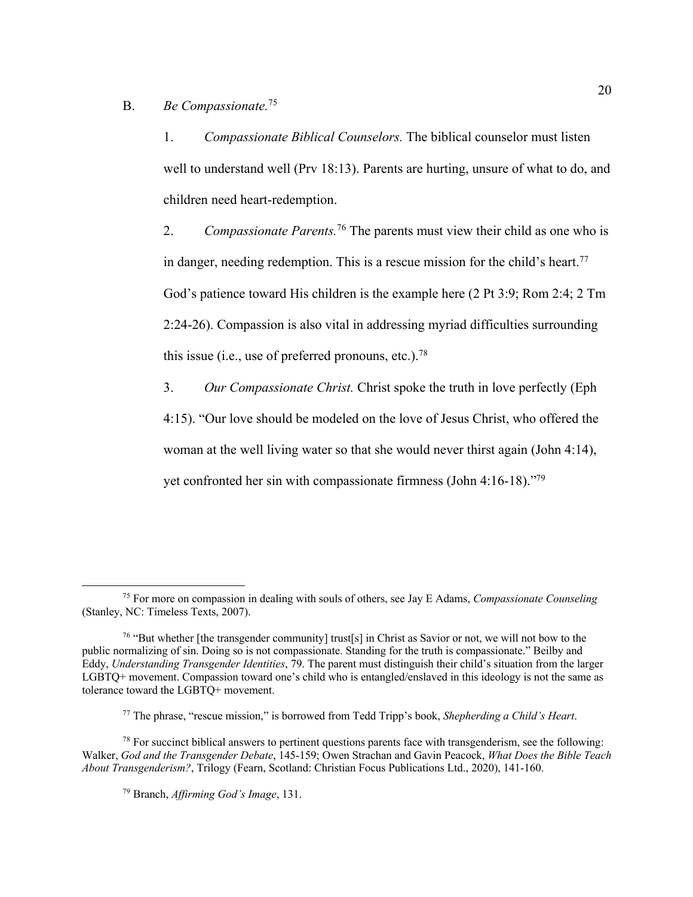#### B. *Be Compassionate.*<sup>75</sup>

1. *Compassionate Biblical Counselors.* The biblical counselor must listen well to understand well (Prv 18:13). Parents are hurting, unsure of what to do, and children need heart-redemption.

2. *Compassionate Parents.* <sup>76</sup> The parents must view their child as one who is in danger, needing redemption. This is a rescue mission for the child's heart.<sup>77</sup> God's patience toward His children is the example here (2 Pt 3:9; Rom 2:4; 2 Tm 2:24-26). Compassion is also vital in addressing myriad difficulties surrounding this issue (i.e., use of preferred pronouns, etc.).<sup>78</sup>

3. *Our Compassionate Christ.* Christ spoke the truth in love perfectly (Eph 4:15). "Our love should be modeled on the love of Jesus Christ, who offered the woman at the well living water so that she would never thirst again (John 4:14), yet confronted her sin with compassionate firmness (John 4:16-18)."79

<sup>75</sup> For more on compassion in dealing with souls of others, see Jay E Adams, *Compassionate Counseling* (Stanley, NC: Timeless Texts, 2007).

<sup>&</sup>lt;sup>76</sup> "But whether [the transgender community] trust[s] in Christ as Savior or not, we will not bow to the public normalizing of sin. Doing so is not compassionate. Standing for the truth is compassionate." Beilby and Eddy, *Understanding Transgender Identities*, 79. The parent must distinguish their child's situation from the larger LGBTQ+ movement. Compassion toward one's child who is entangled/enslaved in this ideology is not the same as tolerance toward the LGBTQ+ movement.

<sup>77</sup> The phrase, "rescue mission," is borrowed from Tedd Tripp's book, *Shepherding a Child's Heart*.

 $78$  For succinct biblical answers to pertinent questions parents face with transgenderism, see the following: Walker, *God and the Transgender Debate*, 145-159; Owen Strachan and Gavin Peacock, *What Does the Bible Teach About Transgenderism?*, Trilogy (Fearn, Scotland: Christian Focus Publications Ltd., 2020), 141-160.

<sup>79</sup> Branch, *Affirming God's Image*, 131.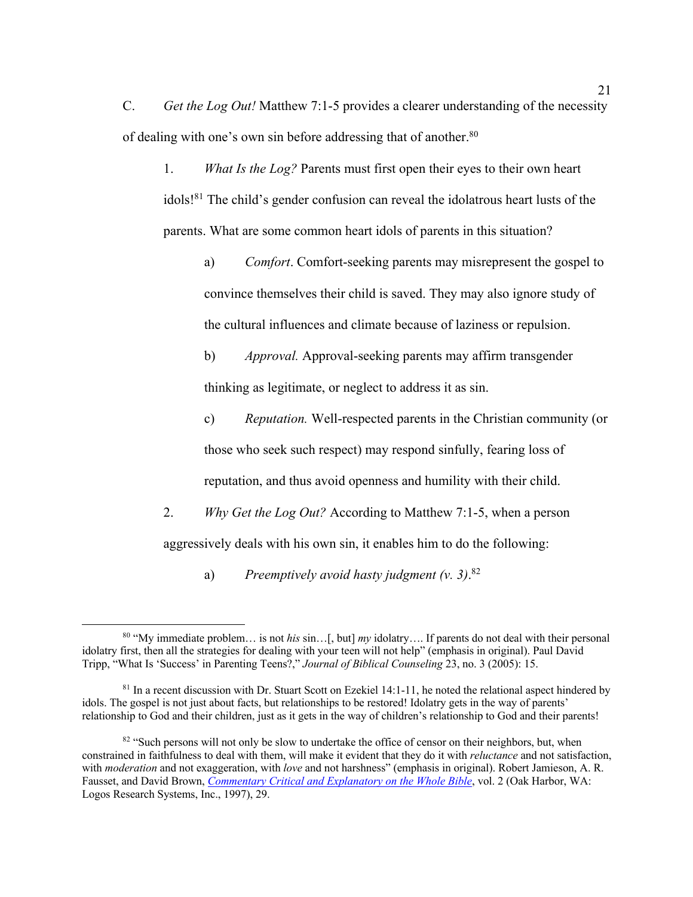C. *Get the Log Out!* Matthew 7:1-5 provides a clearer understanding of the necessity of dealing with one's own sin before addressing that of another.<sup>80</sup>

1. *What Is the Log?* Parents must first open their eyes to their own heart idols!81 The child's gender confusion can reveal the idolatrous heart lusts of the parents. What are some common heart idols of parents in this situation?

a) *Comfort*. Comfort-seeking parents may misrepresent the gospel to convince themselves their child is saved. They may also ignore study of the cultural influences and climate because of laziness or repulsion.

b) *Approval.* Approval-seeking parents may affirm transgender thinking as legitimate, or neglect to address it as sin.

c) *Reputation.* Well-respected parents in the Christian community (or those who seek such respect) may respond sinfully, fearing loss of reputation, and thus avoid openness and humility with their child.

2. *Why Get the Log Out?* According to Matthew 7:1-5, when a person aggressively deals with his own sin, it enables him to do the following:

a) *Preemptively avoid hasty judgment (v. 3)*. 82

<sup>80</sup> "My immediate problem… is not *his* sin…[, but] *my* idolatry…. If parents do not deal with their personal idolatry first, then all the strategies for dealing with your teen will not help" (emphasis in original). Paul David Tripp, "What Is 'Success' in Parenting Teens?," *Journal of Biblical Counseling* 23, no. 3 (2005): 15.

<sup>&</sup>lt;sup>81</sup> In a recent discussion with Dr. Stuart Scott on Ezekiel 14:1-11, he noted the relational aspect hindered by idols. The gospel is not just about facts, but relationships to be restored! Idolatry gets in the way of parents' relationship to God and their children, just as it gets in the way of children's relationship to God and their parents!

<sup>&</sup>lt;sup>82</sup> "Such persons will not only be slow to undertake the office of censor on their neighbors, but, when constrained in faithfulness to deal with them, will make it evident that they do it with *reluctance* and not satisfaction, with *moderation* and not exaggeration, with *love* and not harshness" (emphasis in original). Robert Jamieson, A. R. Fausset, and David Brown, *Commentary Critical and Explanatory on the Whole Bible*, vol. 2 (Oak Harbor, WA: Logos Research Systems, Inc., 1997), 29.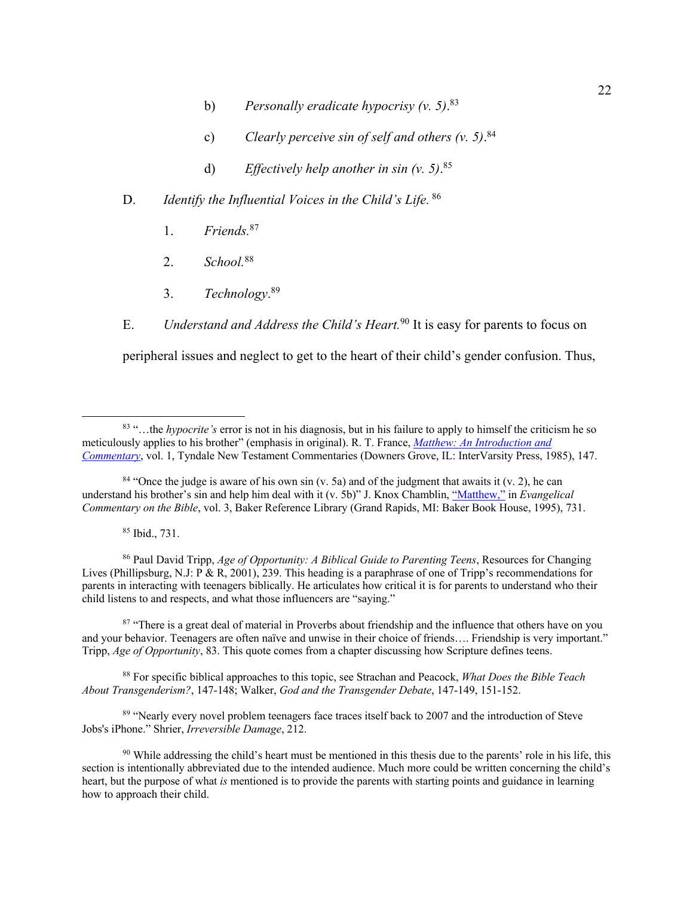- b) *Personally eradicate hypocrisy (v. 5)*. 83
- c) *Clearly perceive sin of self and others (v. 5)*. 84
- d) *Effectively help another in sin (v. 5)*. 85
- D. *Identify the Influential Voices in the Child's Life.* <sup>86</sup>
	- 1. *Friends.*<sup>87</sup>
	- 2. *School.*<sup>88</sup>
	- 3. *Technology*. 89

E. *Understand and Address the Child's Heart.*<sup>90</sup> It is easy for parents to focus on peripheral issues and neglect to get to the heart of their child's gender confusion. Thus,

 $84$  "Once the judge is aware of his own sin (v. 5a) and of the judgment that awaits it (v. 2), he can understand his brother's sin and help him deal with it (v. 5b)" J. Knox Chamblin, "Matthew," in *Evangelical Commentary on the Bible*, vol. 3, Baker Reference Library (Grand Rapids, MI: Baker Book House, 1995), 731.

<sup>85</sup> Ibid., 731.

<sup>86</sup> Paul David Tripp, *Age of Opportunity: A Biblical Guide to Parenting Teens*, Resources for Changing Lives (Phillipsburg, N.J: P & R, 2001), 239. This heading is a paraphrase of one of Tripp's recommendations for parents in interacting with teenagers biblically. He articulates how critical it is for parents to understand who their child listens to and respects, and what those influencers are "saying."

<sup>87</sup> "There is a great deal of material in Proverbs about friendship and the influence that others have on you and your behavior. Teenagers are often naïve and unwise in their choice of friends…. Friendship is very important." Tripp, *Age of Opportunity*, 83. This quote comes from a chapter discussing how Scripture defines teens.

<sup>88</sup> For specific biblical approaches to this topic, see Strachan and Peacock, *What Does the Bible Teach About Transgenderism?*, 147-148; Walker, *God and the Transgender Debate*, 147-149, 151-152.

<sup>89</sup> "Nearly every novel problem teenagers face traces itself back to 2007 and the introduction of Steve Jobs's iPhone." Shrier, *Irreversible Damage*, 212.

 $90$  While addressing the child's heart must be mentioned in this thesis due to the parents' role in his life, this section is intentionally abbreviated due to the intended audience. Much more could be written concerning the child's heart, but the purpose of what *is* mentioned is to provide the parents with starting points and guidance in learning how to approach their child.

<sup>83</sup> "…the *hypocrite's* error is not in his diagnosis, but in his failure to apply to himself the criticism he so meticulously applies to his brother" (emphasis in original). R. T. France, *Matthew: An Introduction and Commentary*, vol. 1, Tyndale New Testament Commentaries (Downers Grove, IL: InterVarsity Press, 1985), 147.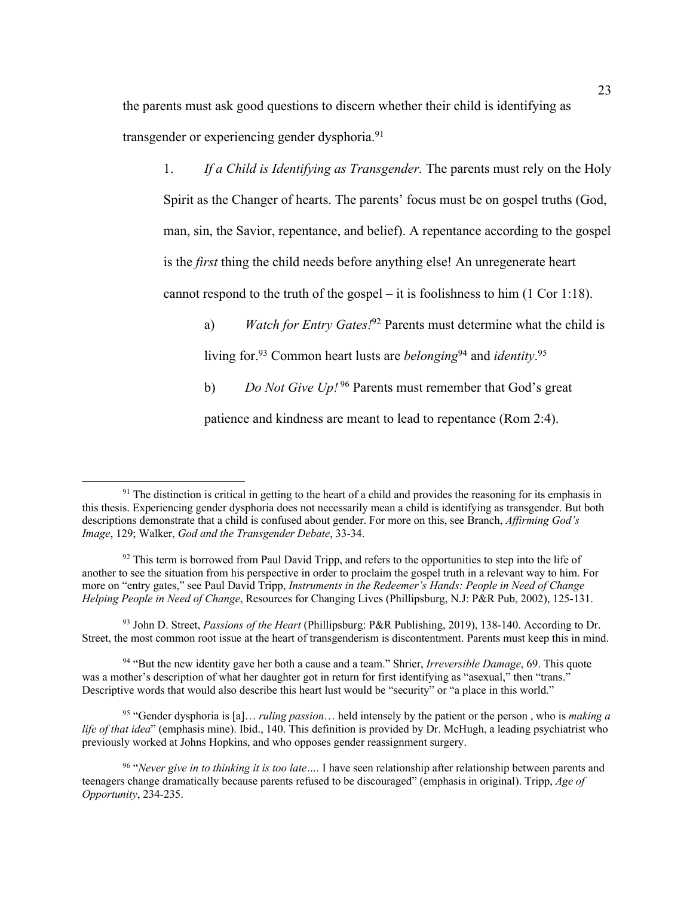the parents must ask good questions to discern whether their child is identifying as transgender or experiencing gender dysphoria. 91

1. *If a Child is Identifying as Transgender.* The parents must rely on the Holy Spirit as the Changer of hearts. The parents' focus must be on gospel truths (God, man, sin, the Savior, repentance, and belief). A repentance according to the gospel is the *first* thing the child needs before anything else! An unregenerate heart cannot respond to the truth of the gospel – it is foolishness to him  $(1 \text{ Cor } 1:18)$ .

a) *Watch for Entry Gates!*<sup>92</sup> Parents must determine what the child is living for.<sup>93</sup> Common heart lusts are *belonging*<sup>94</sup> and *identity*.<sup>95</sup>

b) *Do Not Give Up!* <sup>96</sup> Parents must remember that God's great

patience and kindness are meant to lead to repentance (Rom 2:4).

<sup>93</sup> John D. Street, *Passions of the Heart* (Phillipsburg: P&R Publishing, 2019), 138-140. According to Dr. Street, the most common root issue at the heart of transgenderism is discontentment. Parents must keep this in mind.

<sup>94</sup> "But the new identity gave her both a cause and a team." Shrier, *Irreversible Damage*, 69. This quote was a mother's description of what her daughter got in return for first identifying as "asexual," then "trans." Descriptive words that would also describe this heart lust would be "security" or "a place in this world."

<sup>95</sup> "Gender dysphoria is [a]… *ruling passion*… held intensely by the patient or the person , who is *making a life of that idea*" (emphasis mine). Ibid., 140. This definition is provided by Dr. McHugh, a leading psychiatrist who previously worked at Johns Hopkins, and who opposes gender reassignment surgery.

 $91$  The distinction is critical in getting to the heart of a child and provides the reasoning for its emphasis in this thesis. Experiencing gender dysphoria does not necessarily mean a child is identifying as transgender. But both descriptions demonstrate that a child is confused about gender. For more on this, see Branch, *Affirming God's Image*, 129; Walker, *God and the Transgender Debate*, 33-34.

 $92$  This term is borrowed from Paul David Tripp, and refers to the opportunities to step into the life of another to see the situation from his perspective in order to proclaim the gospel truth in a relevant way to him. For more on "entry gates," see Paul David Tripp, *Instruments in the Redeemer's Hands: People in Need of Change Helping People in Need of Change*, Resources for Changing Lives (Phillipsburg, N.J: P&R Pub, 2002), 125-131.

<sup>96</sup> "*Never give in to thinking it is too late….* I have seen relationship after relationship between parents and teenagers change dramatically because parents refused to be discouraged" (emphasis in original). Tripp, *Age of Opportunity*, 234-235.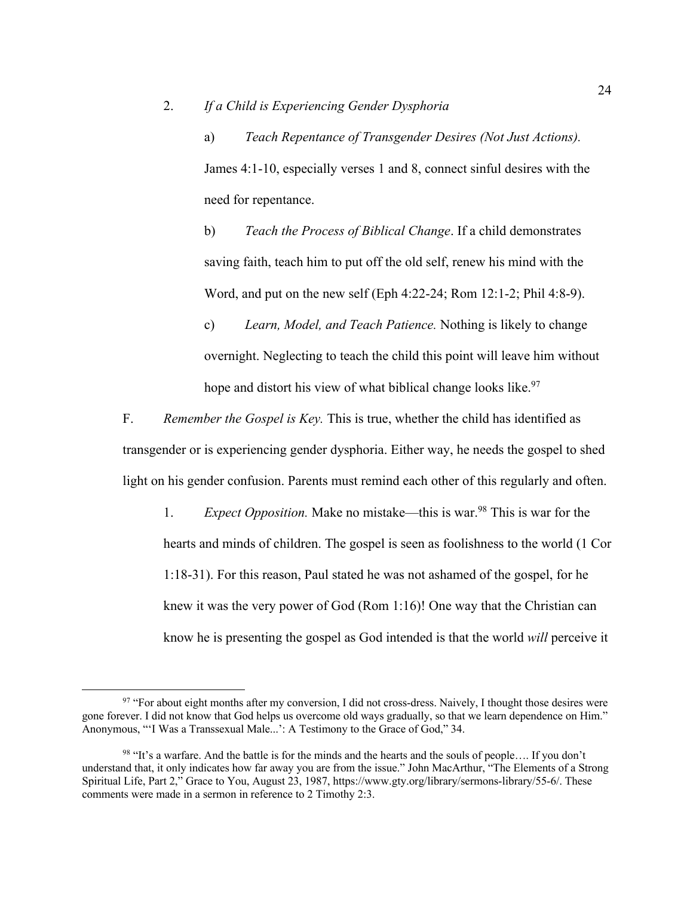a) *Teach Repentance of Transgender Desires (Not Just Actions).* James 4:1-10, especially verses 1 and 8, connect sinful desires with the need for repentance.

b) *Teach the Process of Biblical Change*. If a child demonstrates saving faith, teach him to put off the old self, renew his mind with the Word, and put on the new self (Eph 4:22-24; Rom 12:1-2; Phil 4:8-9).

c) *Learn, Model, and Teach Patience.* Nothing is likely to change overnight. Neglecting to teach the child this point will leave him without hope and distort his view of what biblical change looks like.<sup>97</sup>

F. *Remember the Gospel is Key.* This is true, whether the child has identified as transgender or is experiencing gender dysphoria. Either way, he needs the gospel to shed light on his gender confusion. Parents must remind each other of this regularly and often.

1. *Expect Opposition.* Make no mistake—this is war.98 This is war for the hearts and minds of children. The gospel is seen as foolishness to the world (1 Cor 1:18-31). For this reason, Paul stated he was not ashamed of the gospel, for he knew it was the very power of God (Rom 1:16)! One way that the Christian can know he is presenting the gospel as God intended is that the world *will* perceive it

<sup>&</sup>lt;sup>97</sup> "For about eight months after my conversion, I did not cross-dress. Naively, I thought those desires were gone forever. I did not know that God helps us overcome old ways gradually, so that we learn dependence on Him." Anonymous, "'I Was a Transsexual Male...': A Testimony to the Grace of God," 34.

<sup>&</sup>lt;sup>98</sup> "It's a warfare. And the battle is for the minds and the hearts and the souls of people.... If you don't understand that, it only indicates how far away you are from the issue." John MacArthur, "The Elements of a Strong Spiritual Life, Part 2," Grace to You, August 23, 1987, https://www.gty.org/library/sermons-library/55-6/. These comments were made in a sermon in reference to 2 Timothy 2:3.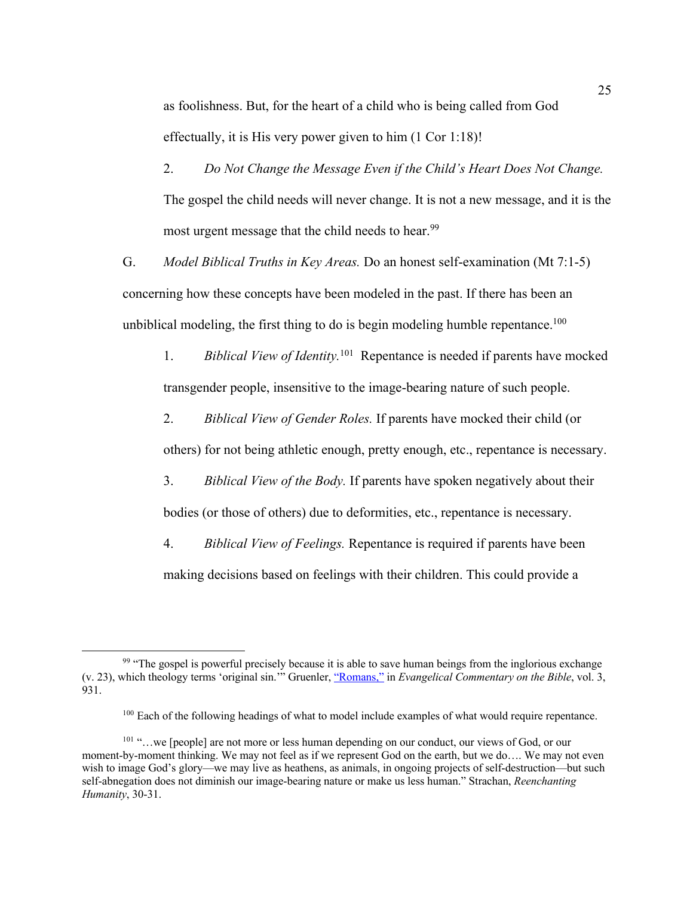as foolishness. But, for the heart of a child who is being called from God effectually, it is His very power given to him (1 Cor 1:18)!

2. *Do Not Change the Message Even if the Child's Heart Does Not Change.* The gospel the child needs will never change. It is not a new message, and it is the most urgent message that the child needs to hear.<sup>99</sup>

G. *Model Biblical Truths in Key Areas.* Do an honest self-examination (Mt 7:1-5) concerning how these concepts have been modeled in the past. If there has been an unbiblical modeling, the first thing to do is begin modeling humble repentance.<sup>100</sup>

1. *Biblical View of Identity.*<sup>101</sup> Repentance is needed if parents have mocked transgender people, insensitive to the image-bearing nature of such people.

2. *Biblical View of Gender Roles.* If parents have mocked their child (or

others) for not being athletic enough, pretty enough, etc., repentance is necessary.

3. *Biblical View of the Body.* If parents have spoken negatively about their bodies (or those of others) due to deformities, etc., repentance is necessary.

4. *Biblical View of Feelings.* Repentance is required if parents have been making decisions based on feelings with their children. This could provide a

<sup>&</sup>lt;sup>99</sup> "The gospel is powerful precisely because it is able to save human beings from the inglorious exchange (v. 23), which theology terms 'original sin.'" Gruenler, "Romans," in *Evangelical Commentary on the Bible*, vol. 3, 931.

<sup>&</sup>lt;sup>100</sup> Each of the following headings of what to model include examples of what would require repentance.

<sup>101 &</sup>quot;...we [people] are not more or less human depending on our conduct, our views of God, or our moment-by-moment thinking. We may not feel as if we represent God on the earth, but we do…. We may not even wish to image God's glory—we may live as heathens, as animals, in ongoing projects of self-destruction—but such self-abnegation does not diminish our image-bearing nature or make us less human." Strachan, *Reenchanting Humanity*, 30-31.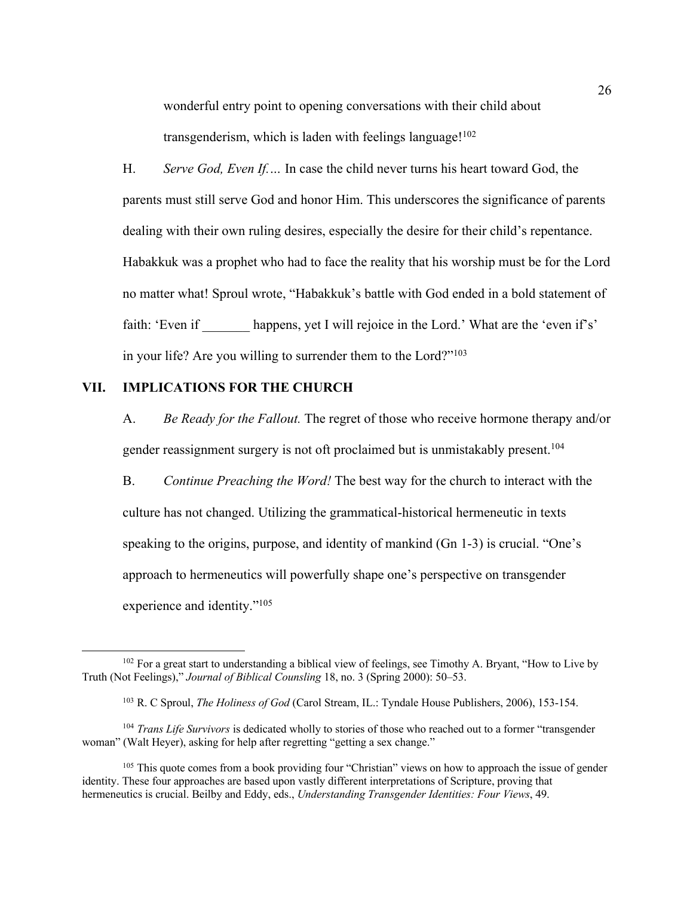wonderful entry point to opening conversations with their child about transgenderism, which is laden with feelings language!<sup>102</sup>

H. *Serve God, Even If.…* In case the child never turns his heart toward God, the parents must still serve God and honor Him. This underscores the significance of parents dealing with their own ruling desires, especially the desire for their child's repentance. Habakkuk was a prophet who had to face the reality that his worship must be for the Lord no matter what! Sproul wrote, "Habakkuk's battle with God ended in a bold statement of faith: 'Even if happens, yet I will rejoice in the Lord.' What are the 'even if's' in your life? Are you willing to surrender them to the Lord?"<sup>103</sup>

### **VII. IMPLICATIONS FOR THE CHURCH**

A. *Be Ready for the Fallout.* The regret of those who receive hormone therapy and/or gender reassignment surgery is not oft proclaimed but is unmistakably present.<sup>104</sup>

B. *Continue Preaching the Word!* The best way for the church to interact with the culture has not changed. Utilizing the grammatical-historical hermeneutic in texts speaking to the origins, purpose, and identity of mankind (Gn 1-3) is crucial. "One's approach to hermeneutics will powerfully shape one's perspective on transgender experience and identity."105

<sup>&</sup>lt;sup>102</sup> For a great start to understanding a biblical view of feelings, see Timothy A. Bryant, "How to Live by Truth (Not Feelings)," *Journal of Biblical Counsling* 18, no. 3 (Spring 2000): 50–53.

<sup>103</sup> R. C Sproul, *The Holiness of God* (Carol Stream, IL.: Tyndale House Publishers, 2006), 153-154.

<sup>104</sup> *Trans Life Survivors* is dedicated wholly to stories of those who reached out to a former "transgender woman" (Walt Heyer), asking for help after regretting "getting a sex change."

<sup>&</sup>lt;sup>105</sup> This quote comes from a book providing four "Christian" views on how to approach the issue of gender identity. These four approaches are based upon vastly different interpretations of Scripture, proving that hermeneutics is crucial. Beilby and Eddy, eds., *Understanding Transgender Identities: Four Views*, 49.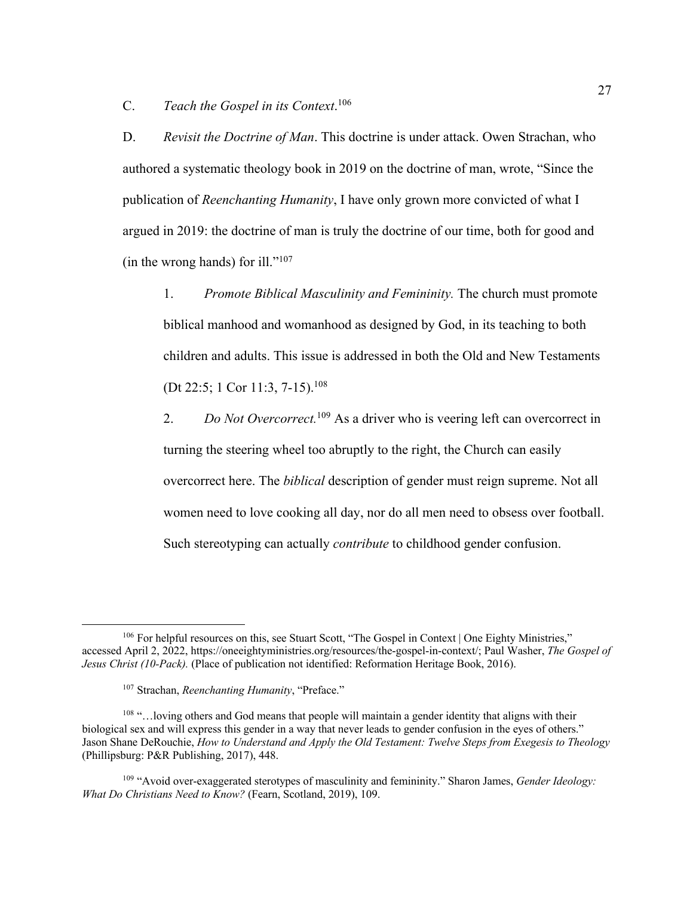C. *Teach the Gospel in its Context*. 106

D. *Revisit the Doctrine of Man*. This doctrine is under attack. Owen Strachan, who authored a systematic theology book in 2019 on the doctrine of man, wrote, "Since the publication of *Reenchanting Humanity*, I have only grown more convicted of what I argued in 2019: the doctrine of man is truly the doctrine of our time, both for good and (in the wrong hands) for ill." $107$ 

1. *Promote Biblical Masculinity and Femininity.* The church must promote biblical manhood and womanhood as designed by God, in its teaching to both children and adults. This issue is addressed in both the Old and New Testaments (Dt 22:5; 1 Cor 11:3, 7-15).<sup>108</sup>

2. *Do Not Overcorrect.*<sup>109</sup> As a driver who is veering left can overcorrect in turning the steering wheel too abruptly to the right, the Church can easily overcorrect here. The *biblical* description of gender must reign supreme. Not all women need to love cooking all day, nor do all men need to obsess over football. Such stereotyping can actually *contribute* to childhood gender confusion.

<sup>&</sup>lt;sup>106</sup> For helpful resources on this, see Stuart Scott, "The Gospel in Context | One Eighty Ministries," accessed April 2, 2022, https://oneeightyministries.org/resources/the-gospel-in-context/; Paul Washer, *The Gospel of Jesus Christ (10-Pack).* (Place of publication not identified: Reformation Heritage Book, 2016).

<sup>107</sup> Strachan, *Reenchanting Humanity*, "Preface."

<sup>&</sup>lt;sup>108</sup> "... loving others and God means that people will maintain a gender identity that aligns with their biological sex and will express this gender in a way that never leads to gender confusion in the eyes of others." Jason Shane DeRouchie, *How to Understand and Apply the Old Testament: Twelve Steps from Exegesis to Theology* (Phillipsburg: P&R Publishing, 2017), 448.

<sup>109</sup> "Avoid over-exaggerated sterotypes of masculinity and femininity." Sharon James, *Gender Ideology: What Do Christians Need to Know?* (Fearn, Scotland, 2019), 109.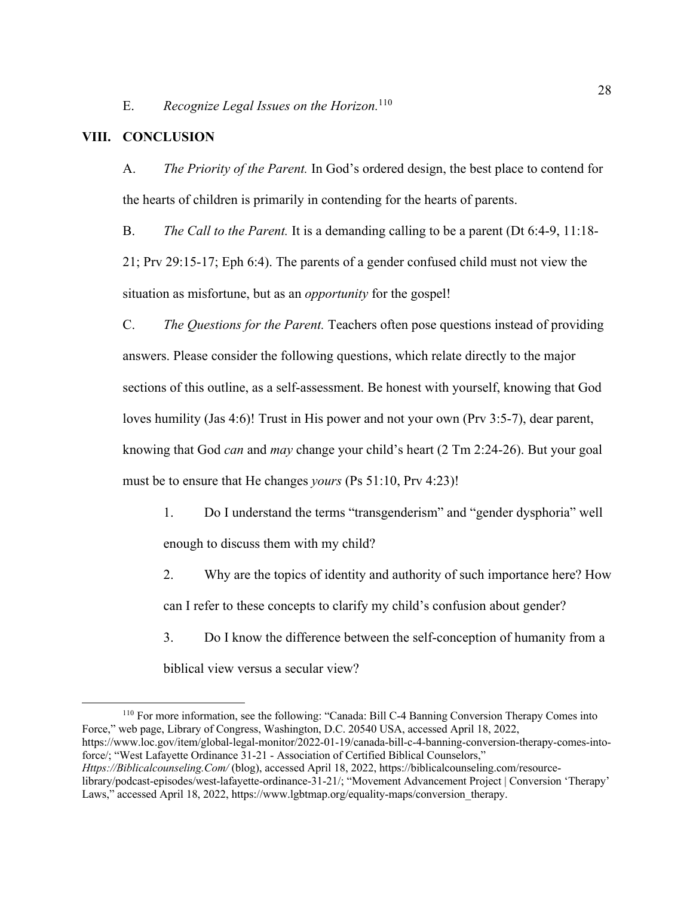E. *Recognize Legal Issues on the Horizon.*<sup>110</sup>

### **VIII. CONCLUSION**

A. *The Priority of the Parent.* In God's ordered design, the best place to contend for the hearts of children is primarily in contending for the hearts of parents.

B. *The Call to the Parent.* It is a demanding calling to be a parent (Dt 6:4-9, 11:18- 21; Prv 29:15-17; Eph 6:4). The parents of a gender confused child must not view the situation as misfortune, but as an *opportunity* for the gospel!

C. *The Questions for the Parent.* Teachers often pose questions instead of providing answers. Please consider the following questions, which relate directly to the major sections of this outline, as a self-assessment. Be honest with yourself, knowing that God loves humility (Jas 4:6)! Trust in His power and not your own (Prv 3:5-7), dear parent, knowing that God *can* and *may* change your child's heart (2 Tm 2:24-26). But your goal must be to ensure that He changes *yours* (Ps 51:10, Prv 4:23)!

- 1. Do I understand the terms "transgenderism" and "gender dysphoria" well enough to discuss them with my child?
- 2. Why are the topics of identity and authority of such importance here? How can I refer to these concepts to clarify my child's confusion about gender?
- 3. Do I know the difference between the self-conception of humanity from a biblical view versus a secular view?

<sup>110</sup> For more information, see the following: "Canada: Bill C-4 Banning Conversion Therapy Comes into Force," web page, Library of Congress, Washington, D.C. 20540 USA, accessed April 18, 2022, https://www.loc.gov/item/global-legal-monitor/2022-01-19/canada-bill-c-4-banning-conversion-therapy-comes-intoforce/; "West Lafayette Ordinance 31-21 - Association of Certified Biblical Counselors," *Https://Biblicalcounseling.Com/* (blog), accessed April 18, 2022, https://biblicalcounseling.com/resourcelibrary/podcast-episodes/west-lafayette-ordinance-31-21/; "Movement Advancement Project | Conversion 'Therapy' Laws," accessed April 18, 2022, https://www.lgbtmap.org/equality-maps/conversion\_therapy.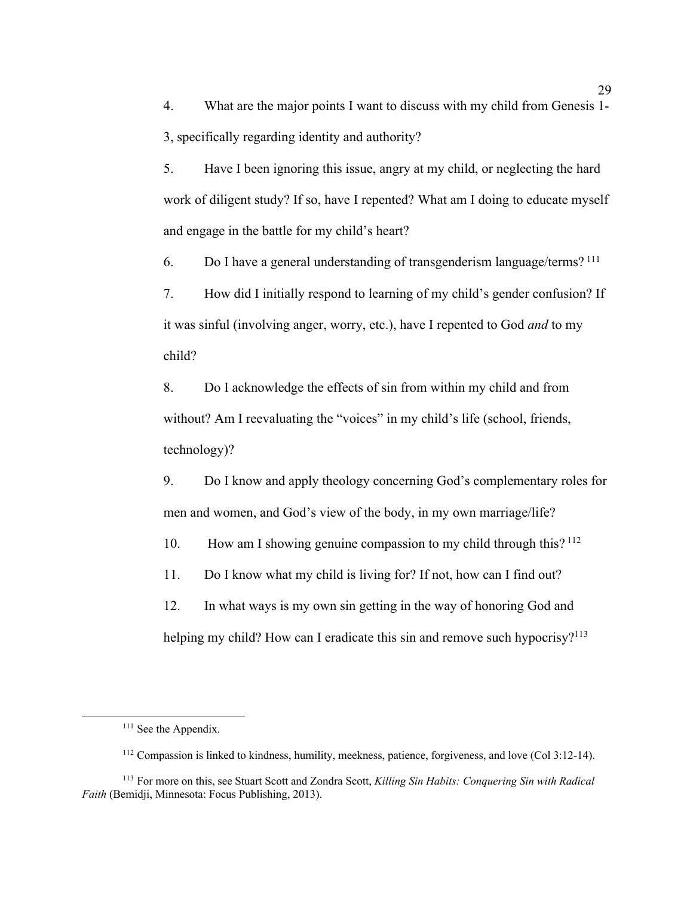4. What are the major points I want to discuss with my child from Genesis 1- 3, specifically regarding identity and authority?

5. Have I been ignoring this issue, angry at my child, or neglecting the hard work of diligent study? If so, have I repented? What am I doing to educate myself and engage in the battle for my child's heart?

6. Do I have a general understanding of transgenderism language/terms? <sup>111</sup>

7. How did I initially respond to learning of my child's gender confusion? If it was sinful (involving anger, worry, etc.), have I repented to God *and* to my child?

8. Do I acknowledge the effects of sin from within my child and from without? Am I reevaluating the "voices" in my child's life (school, friends, technology)?

9. Do I know and apply theology concerning God's complementary roles for men and women, and God's view of the body, in my own marriage/life?

10. How am I showing genuine compassion to my child through this?<sup>112</sup>

11. Do I know what my child is living for? If not, how can I find out?

12. In what ways is my own sin getting in the way of honoring God and helping my child? How can I eradicate this sin and remove such hypocrisy?<sup>113</sup>

<sup>&</sup>lt;sup>111</sup> See the Appendix.

<sup>112</sup> Compassion is linked to kindness, humility, meekness, patience, forgiveness, and love (Col 3:12-14).

<sup>113</sup> For more on this, see Stuart Scott and Zondra Scott, *Killing Sin Habits: Conquering Sin with Radical Faith* (Bemidji, Minnesota: Focus Publishing, 2013).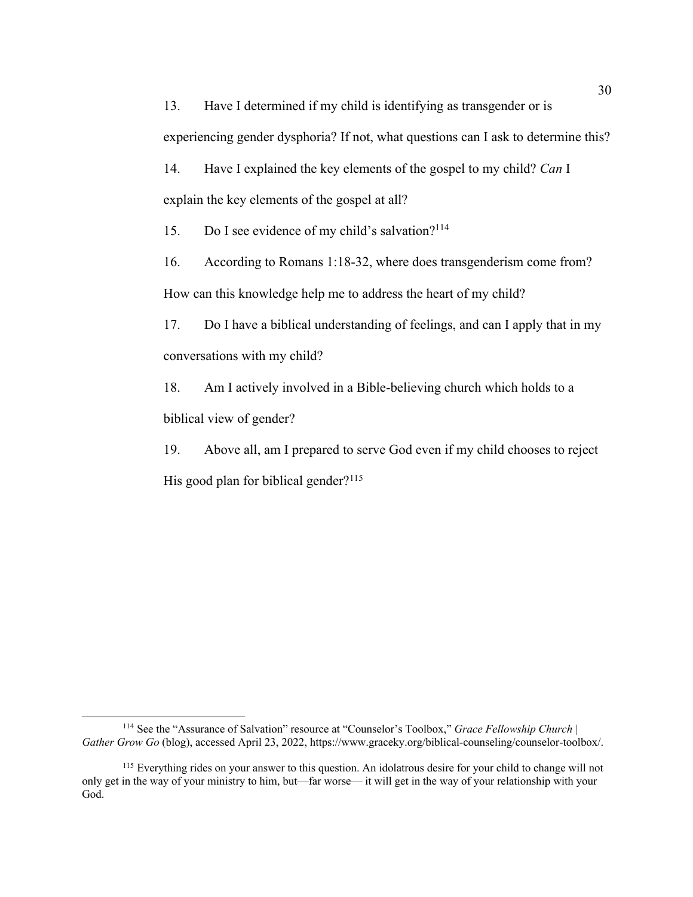13. Have I determined if my child is identifying as transgender or is experiencing gender dysphoria? If not, what questions can I ask to determine this? 14. Have I explained the key elements of the gospel to my child? *Can* I

explain the key elements of the gospel at all?

15. Do I see evidence of my child's salvation?<sup>114</sup>

16. According to Romans 1:18-32, where does transgenderism come from? How can this knowledge help me to address the heart of my child?

17. Do I have a biblical understanding of feelings, and can I apply that in my conversations with my child?

18. Am I actively involved in a Bible-believing church which holds to a biblical view of gender?

19. Above all, am I prepared to serve God even if my child chooses to reject His good plan for biblical gender? $115$ 

<sup>114</sup> See the "Assurance of Salvation" resource at "Counselor's Toolbox," *Grace Fellowship Church | Gather Grow Go* (blog), accessed April 23, 2022, https://www.graceky.org/biblical-counseling/counselor-toolbox/.

<sup>&</sup>lt;sup>115</sup> Everything rides on your answer to this question. An idolatrous desire for your child to change will not only get in the way of your ministry to him, but—far worse— it will get in the way of your relationship with your God.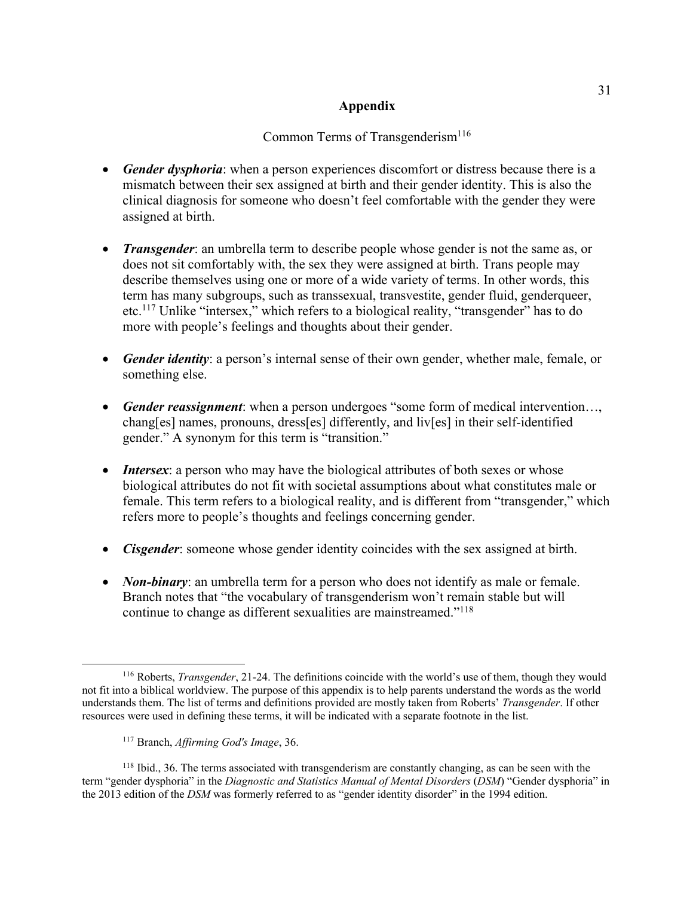# **Appendix**

# Common Terms of Transgenderism<sup>116</sup>

- *Gender dysphoria*: when a person experiences discomfort or distress because there is a mismatch between their sex assigned at birth and their gender identity. This is also the clinical diagnosis for someone who doesn't feel comfortable with the gender they were assigned at birth.
- *Transgender*: an umbrella term to describe people whose gender is not the same as, or does not sit comfortably with, the sex they were assigned at birth. Trans people may describe themselves using one or more of a wide variety of terms. In other words, this term has many subgroups, such as transsexual, transvestite, gender fluid, genderqueer, etc.117 Unlike "intersex," which refers to a biological reality, "transgender" has to do more with people's feelings and thoughts about their gender.
- *Gender identity*: a person's internal sense of their own gender, whether male, female, or something else.
- *Gender reassignment*: when a person undergoes "some form of medical intervention…, chang[es] names, pronouns, dress[es] differently, and liv[es] in their self-identified gender." A synonym for this term is "transition."
- *Intersex*: a person who may have the biological attributes of both sexes or whose biological attributes do not fit with societal assumptions about what constitutes male or female. This term refers to a biological reality, and is different from "transgender," which refers more to people's thoughts and feelings concerning gender.
- *Cisgender*: someone whose gender identity coincides with the sex assigned at birth.
- *Non-binary*: an umbrella term for a person who does not identify as male or female. Branch notes that "the vocabulary of transgenderism won't remain stable but will continue to change as different sexualities are mainstreamed."118

<sup>116</sup> Roberts, *Transgender*, 21-24. The definitions coincide with the world's use of them, though they would not fit into a biblical worldview. The purpose of this appendix is to help parents understand the words as the world understands them. The list of terms and definitions provided are mostly taken from Roberts' *Transgender*. If other resources were used in defining these terms, it will be indicated with a separate footnote in the list.

<sup>117</sup> Branch, *Affirming God's Image*, 36.

<sup>118</sup> Ibid., 36. The terms associated with transgenderism are constantly changing, as can be seen with the term "gender dysphoria" in the *Diagnostic and Statistics Manual of Mental Disorders* (*DSM*) "Gender dysphoria" in the 2013 edition of the *DSM* was formerly referred to as "gender identity disorder" in the 1994 edition.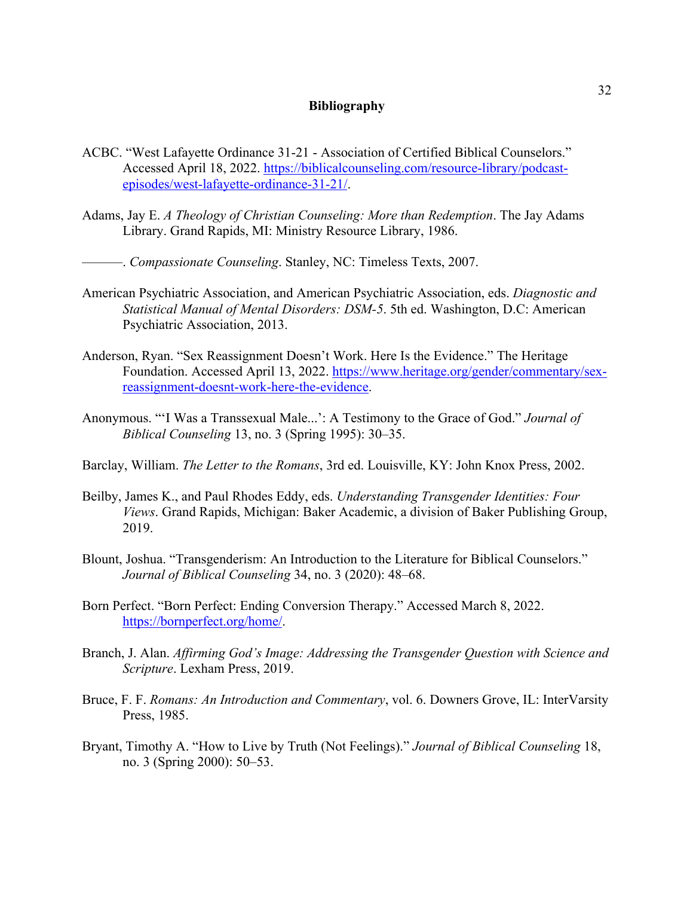# **Bibliography**

- ACBC. "West Lafayette Ordinance 31-21 Association of Certified Biblical Counselors." Accessed April 18, 2022. https://biblicalcounseling.com/resource-library/podcastepisodes/west-lafayette-ordinance-31-21/.
- Adams, Jay E. *A Theology of Christian Counseling: More than Redemption*. The Jay Adams Library. Grand Rapids, MI: Ministry Resource Library, 1986.

———. *Compassionate Counseling*. Stanley, NC: Timeless Texts, 2007.

- American Psychiatric Association, and American Psychiatric Association, eds. *Diagnostic and Statistical Manual of Mental Disorders: DSM-5*. 5th ed. Washington, D.C: American Psychiatric Association, 2013.
- Anderson, Ryan. "Sex Reassignment Doesn't Work. Here Is the Evidence." The Heritage Foundation. Accessed April 13, 2022. https://www.heritage.org/gender/commentary/sexreassignment-doesnt-work-here-the-evidence.
- Anonymous. "'I Was a Transsexual Male...': A Testimony to the Grace of God." *Journal of Biblical Counseling* 13, no. 3 (Spring 1995): 30–35.
- Barclay, William. *The Letter to the Romans*, 3rd ed. Louisville, KY: John Knox Press, 2002.
- Beilby, James K., and Paul Rhodes Eddy, eds. *Understanding Transgender Identities: Four Views*. Grand Rapids, Michigan: Baker Academic, a division of Baker Publishing Group, 2019.
- Blount, Joshua. "Transgenderism: An Introduction to the Literature for Biblical Counselors." *Journal of Biblical Counseling* 34, no. 3 (2020): 48–68.
- Born Perfect. "Born Perfect: Ending Conversion Therapy." Accessed March 8, 2022. https://bornperfect.org/home/.
- Branch, J. Alan. *Affirming God's Image: Addressing the Transgender Question with Science and Scripture*. Lexham Press, 2019.
- Bruce, F. F. *Romans: An Introduction and Commentary*, vol. 6. Downers Grove, IL: InterVarsity Press, 1985.
- Bryant, Timothy A. "How to Live by Truth (Not Feelings)." *Journal of Biblical Counseling* 18, no. 3 (Spring 2000): 50–53.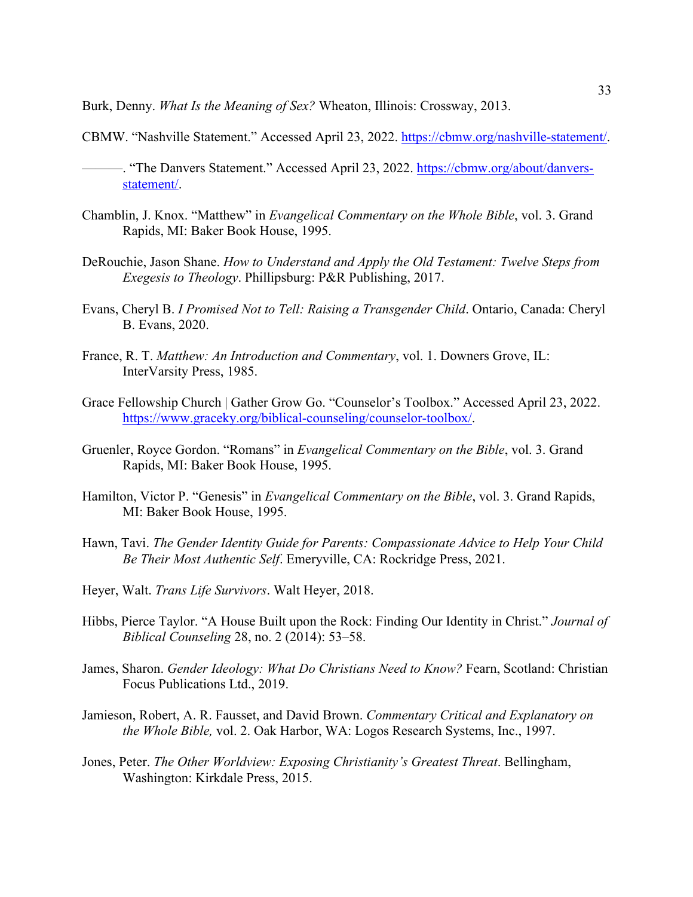Burk, Denny. *What Is the Meaning of Sex?* Wheaton, Illinois: Crossway, 2013.

- CBMW. "Nashville Statement." Accessed April 23, 2022. https://cbmw.org/nashville-statement/.
- -. "The Danvers Statement." Accessed April 23, 2022. https://cbmw.org/about/danversstatement/.
- Chamblin, J. Knox. "Matthew" in *Evangelical Commentary on the Whole Bible*, vol. 3. Grand Rapids, MI: Baker Book House, 1995.
- DeRouchie, Jason Shane. *How to Understand and Apply the Old Testament: Twelve Steps from Exegesis to Theology*. Phillipsburg: P&R Publishing, 2017.
- Evans, Cheryl B. *I Promised Not to Tell: Raising a Transgender Child*. Ontario, Canada: Cheryl B. Evans, 2020.
- France, R. T. *Matthew: An Introduction and Commentary*, vol. 1. Downers Grove, IL: InterVarsity Press, 1985.
- Grace Fellowship Church | Gather Grow Go. "Counselor's Toolbox." Accessed April 23, 2022. https://www.graceky.org/biblical-counseling/counselor-toolbox/.
- Gruenler, Royce Gordon. "Romans" in *Evangelical Commentary on the Bible*, vol. 3. Grand Rapids, MI: Baker Book House, 1995.
- Hamilton, Victor P. "Genesis" in *Evangelical Commentary on the Bible*, vol. 3. Grand Rapids, MI: Baker Book House, 1995.
- Hawn, Tavi. *The Gender Identity Guide for Parents: Compassionate Advice to Help Your Child Be Their Most Authentic Self*. Emeryville, CA: Rockridge Press, 2021.
- Heyer, Walt. *Trans Life Survivors*. Walt Heyer, 2018.
- Hibbs, Pierce Taylor. "A House Built upon the Rock: Finding Our Identity in Christ." *Journal of Biblical Counseling* 28, no. 2 (2014): 53–58.
- James, Sharon. *Gender Ideology: What Do Christians Need to Know?* Fearn, Scotland: Christian Focus Publications Ltd., 2019.
- Jamieson, Robert, A. R. Fausset, and David Brown. *Commentary Critical and Explanatory on the Whole Bible,* vol. 2. Oak Harbor, WA: Logos Research Systems, Inc., 1997.
- Jones, Peter. *The Other Worldview: Exposing Christianity's Greatest Threat*. Bellingham, Washington: Kirkdale Press, 2015.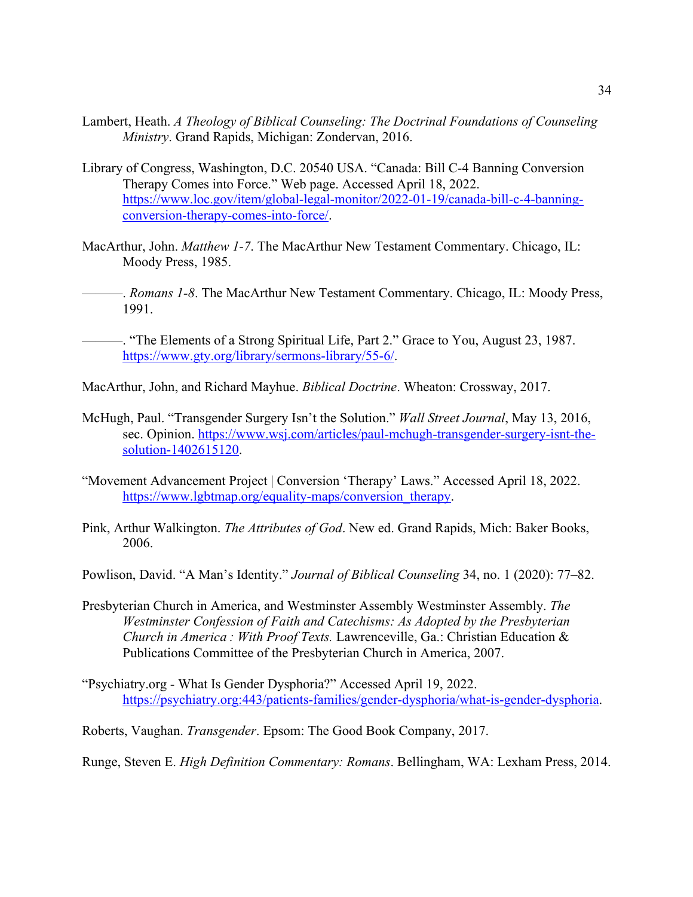- Lambert, Heath. *A Theology of Biblical Counseling: The Doctrinal Foundations of Counseling Ministry*. Grand Rapids, Michigan: Zondervan, 2016.
- Library of Congress, Washington, D.C. 20540 USA. "Canada: Bill C-4 Banning Conversion Therapy Comes into Force." Web page. Accessed April 18, 2022. https://www.loc.gov/item/global-legal-monitor/2022-01-19/canada-bill-c-4-banningconversion-therapy-comes-into-force/.
- MacArthur, John. *Matthew 1-7*. The MacArthur New Testament Commentary. Chicago, IL: Moody Press, 1985.
- ———. *Romans 1-8*. The MacArthur New Testament Commentary. Chicago, IL: Moody Press, 1991.
	- ———. "The Elements of a Strong Spiritual Life, Part 2." Grace to You, August 23, 1987. https://www.gty.org/library/sermons-library/55-6/.
- MacArthur, John, and Richard Mayhue. *Biblical Doctrine*. Wheaton: Crossway, 2017.
- McHugh, Paul. "Transgender Surgery Isn't the Solution." *Wall Street Journal*, May 13, 2016, sec. Opinion. https://www.wsj.com/articles/paul-mchugh-transgender-surgery-isnt-thesolution-1402615120.
- "Movement Advancement Project | Conversion 'Therapy' Laws." Accessed April 18, 2022. https://www.lgbtmap.org/equality-maps/conversion\_therapy.
- Pink, Arthur Walkington. *The Attributes of God*. New ed. Grand Rapids, Mich: Baker Books, 2006.
- Powlison, David. "A Man's Identity." *Journal of Biblical Counseling* 34, no. 1 (2020): 77–82.
- Presbyterian Church in America, and Westminster Assembly Westminster Assembly. *The Westminster Confession of Faith and Catechisms: As Adopted by the Presbyterian Church in America : With Proof Texts.* Lawrenceville, Ga.: Christian Education & Publications Committee of the Presbyterian Church in America, 2007.
- "Psychiatry.org What Is Gender Dysphoria?" Accessed April 19, 2022. https://psychiatry.org:443/patients-families/gender-dysphoria/what-is-gender-dysphoria.

Roberts, Vaughan. *Transgender*. Epsom: The Good Book Company, 2017.

Runge, Steven E. *High Definition Commentary: Romans*. Bellingham, WA: Lexham Press, 2014.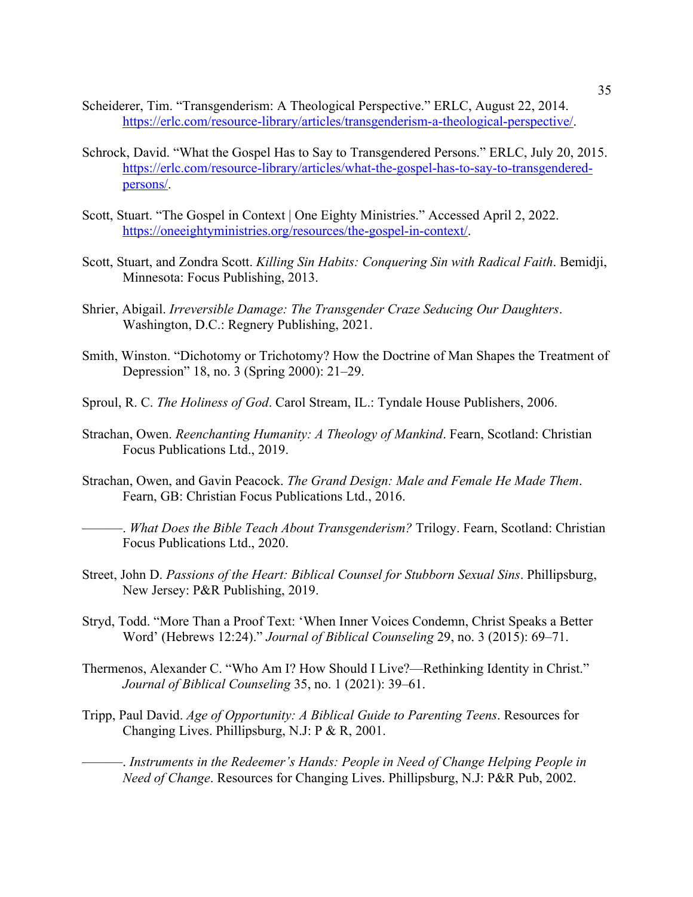- Scheiderer, Tim. "Transgenderism: A Theological Perspective." ERLC, August 22, 2014. https://erlc.com/resource-library/articles/transgenderism-a-theological-perspective/.
- Schrock, David. "What the Gospel Has to Say to Transgendered Persons." ERLC, July 20, 2015. https://erlc.com/resource-library/articles/what-the-gospel-has-to-say-to-transgenderedpersons/.
- Scott, Stuart. "The Gospel in Context | One Eighty Ministries." Accessed April 2, 2022. https://oneeightyministries.org/resources/the-gospel-in-context/.
- Scott, Stuart, and Zondra Scott. *Killing Sin Habits: Conquering Sin with Radical Faith*. Bemidji, Minnesota: Focus Publishing, 2013.
- Shrier, Abigail. *Irreversible Damage: The Transgender Craze Seducing Our Daughters*. Washington, D.C.: Regnery Publishing, 2021.
- Smith, Winston. "Dichotomy or Trichotomy? How the Doctrine of Man Shapes the Treatment of Depression" 18, no. 3 (Spring 2000): 21–29.
- Sproul, R. C. *The Holiness of God*. Carol Stream, IL.: Tyndale House Publishers, 2006.
- Strachan, Owen. *Reenchanting Humanity: A Theology of Mankind*. Fearn, Scotland: Christian Focus Publications Ltd., 2019.
- Strachan, Owen, and Gavin Peacock. *The Grand Design: Male and Female He Made Them*. Fearn, GB: Christian Focus Publications Ltd., 2016.
	- ———. *What Does the Bible Teach About Transgenderism?* Trilogy. Fearn, Scotland: Christian Focus Publications Ltd., 2020.
- Street, John D. *Passions of the Heart: Biblical Counsel for Stubborn Sexual Sins*. Phillipsburg, New Jersey: P&R Publishing, 2019.
- Stryd, Todd. "More Than a Proof Text: 'When Inner Voices Condemn, Christ Speaks a Better Word' (Hebrews 12:24)." *Journal of Biblical Counseling* 29, no. 3 (2015): 69–71.
- Thermenos, Alexander C. "Who Am I? How Should I Live?—Rethinking Identity in Christ." *Journal of Biblical Counseling* 35, no. 1 (2021): 39–61.
- Tripp, Paul David. *Age of Opportunity: A Biblical Guide to Parenting Teens*. Resources for Changing Lives. Phillipsburg, N.J: P & R, 2001.
	- ———. *Instruments in the Redeemer's Hands: People in Need of Change Helping People in Need of Change*. Resources for Changing Lives. Phillipsburg, N.J: P&R Pub, 2002.